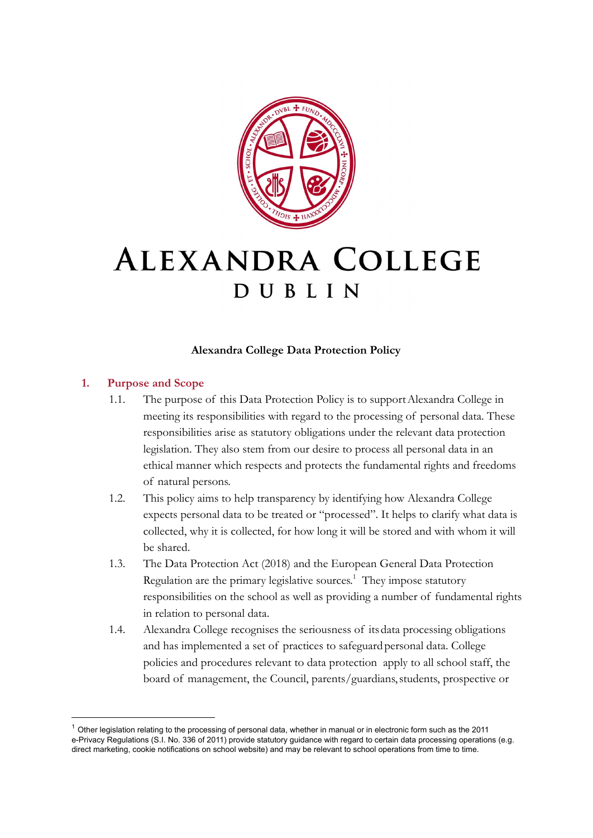

# ALEXANDRA COLLEGE DUBLIN

#### **Alexandra College Data Protection Policy**

## **1. Purpose and Scope**

- 1.1. The purpose of this Data Protection Policy is to supportAlexandra College in meeting its responsibilities with regard to the processing of personal data. These responsibilities arise as statutory obligations under the relevant data protection legislation. They also stem from our desire to process all personal data in an ethical manner which respects and protects the fundamental rights and freedoms of natural persons.
- 1.2. This policy aims to help transparency by identifying how Alexandra College expects personal data to be treated or "processed". It helps to clarify what data is collected, why it is collected, for how long it will be stored and with whom it will be shared.
- 1.3. The Data Protection Act (2018) and the European General Data Protection Regulation are the primary legislative sources.<sup>1</sup> They impose statutory responsibilities on the school as well as providing a number of fundamental rights in relation to personal data.
- 1.4. Alexandra College recognises the seriousness of itsdata processing obligations and has implemented a set of practices to safeguard personal data. College policies and procedures relevant to data protection apply to all school staff, the board of management, the Council, parents/guardians, students, prospective or

 $1$  Other legislation relating to the processing of personal data, whether in manual or in electronic form such as the 2011 e-Privacy Regulations (S.I. No. 336 of 2011) provide statutory guidance with regard to certain data processing operations (e.g. direct marketing, cookie notifications on school website) and may be relevant to school operations from time to time.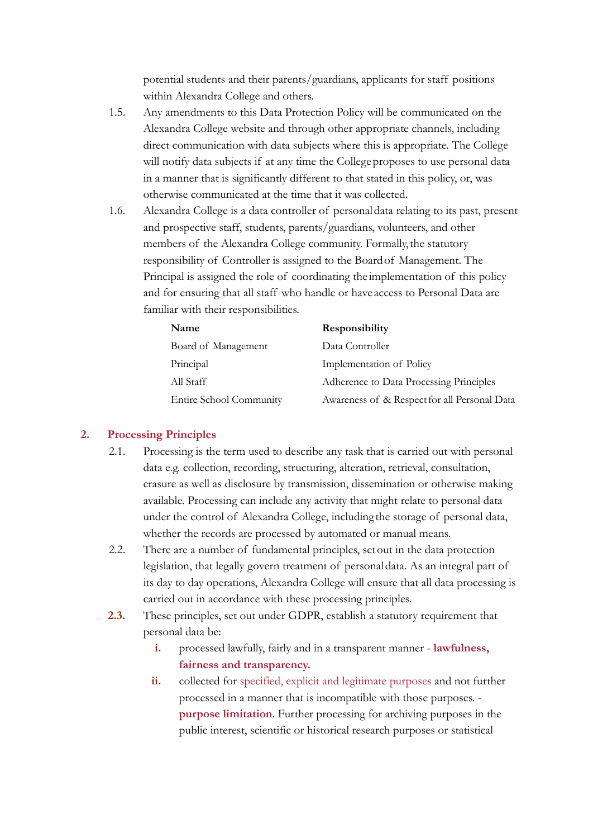potential students and their parents/guardians, applicants for staff positions within Alexandra College and others.

- 1.5. Any amendments to this Data Protection Policy will be communicated on the Alexandra College website and through other appropriate channels, including direct communication with data subjects where this is appropriate. The College will notify data subjects if at any time the College proposes to use personal data in a manner that is significantly different to that stated in this policy, or, was otherwise communicated at the time that it was collected.
- 1.6. Alexandra College is a data controller of personaldata relating to its past, present and prospective staff, students, parents/guardians, volunteers, and other members of the Alexandra College community. Formally,the statutory responsibility of Controller is assigned to the Board of Management. The Principal is assigned the role of coordinating the implementation of this policy and for ensuring that all staff who handle or have access to Personal Data are familiar with their responsibilities.

| <b>Name</b>             | Responsibility                               |
|-------------------------|----------------------------------------------|
| Board of Management     | Data Controller                              |
| Principal               | Implementation of Policy                     |
| All Staff               | Adherence to Data Processing Principles      |
| Entire School Community | Awareness of & Respect for all Personal Data |

#### **2. Processing Principles**

- 2.1. Processing is the term used to describe any task that is carried out with personal data e.g. collection, recording, structuring, alteration, retrieval, consultation, erasure as well as disclosure by transmission, dissemination or otherwise making available. Processing can include any activity that might relate to personal data under the control of Alexandra College, including the storage of personal data, whether the records are processed by automated or manual means.
- 2.2. There are a number of fundamental principles, setout in the data protection legislation, that legally govern treatment of personaldata. As an integral part of its day to day operations, Alexandra College will ensure that all data processing is carried out in accordance with these processing principles.
- **2.3.** These principles, set out under GDPR, establish a statutory requirement that personal data be:
	- **i.** processed lawfully, fairly and in a transparent manner **lawfulness, fairness and transparency.**
	- **ii.** collected for specified, explicit and legitimate purposes and not further processed in a manner that is incompatible with those purposes. **purpose limitation**. Further processing for archiving purposes in the public interest, scientific or historical research purposes or statistical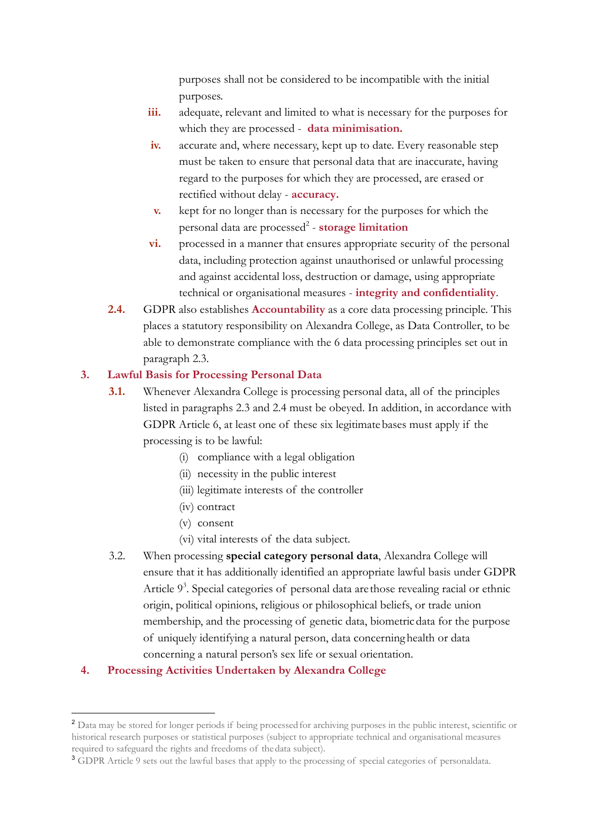purposes shall not be considered to be incompatible with the initial purposes.

- **iii.** adequate, relevant and limited to what is necessary for the purposes for which they are processed - **data minimisation.**
- **iv.** accurate and, where necessary, kept up to date. Every reasonable step must be taken to ensure that personal data that are inaccurate, having regard to the purposes for which they are processed, are erased or rectified without delay - **accuracy.**
- **v.** kept for no longer than is necessary for the purposes for which the personal data are processed<sup>2</sup> - **storage limitation**
- **vi.** processed in a manner that ensures appropriate security of the personal data, including protection against unauthorised or unlawful processing and against accidental loss, destruction or damage, using appropriate technical or organisational measures - **integrity and confidentiality**.
- **2.4.** GDPR also establishes **Accountability** as a core data processing principle. This places a statutory responsibility on Alexandra College, as Data Controller, to be able to demonstrate compliance with the 6 data processing principles set out in paragraph 2.3.

## **3. Lawful Basis for Processing Personal Data**

- **3.1.** Whenever Alexandra College is processing personal data, all of the principles listed in paragraphs 2.3 and 2.4 must be obeyed. In addition, in accordance with GDPR Article 6, at least one of these six legitimatebases must apply if the processing is to be lawful:
	- (i) compliance with a legal obligation
	- (ii) necessity in the public interest
	- (iii) legitimate interests of the controller
	- (iv) contract
	- (v) consent
	- (vi) vital interests of the data subject.
- 3.2. When processing **special category personal data**, Alexandra College will ensure that it has additionally identified an appropriate lawful basis under GDPR Article  $9<sup>3</sup>$ . Special categories of personal data are those revealing racial or ethnic origin, political opinions, religious or philosophical beliefs, or trade union membership, and the processing of genetic data, biometric data for the purpose of uniquely identifying a natural person, data concerninghealth or data concerning a natural person's sex life or sexual orientation.

## **4. Processing Activities Undertaken by Alexandra College**

<sup>&</sup>lt;sup>2</sup> Data may be stored for longer periods if being processed for archiving purposes in the public interest, scientific or historical research purposes or statistical purposes (subject to appropriate technical and organisational measures required to safeguard the rights and freedoms of thedata subject).

<sup>&</sup>lt;sup>3</sup> GDPR Article 9 sets out the lawful bases that apply to the processing of special categories of personaldata.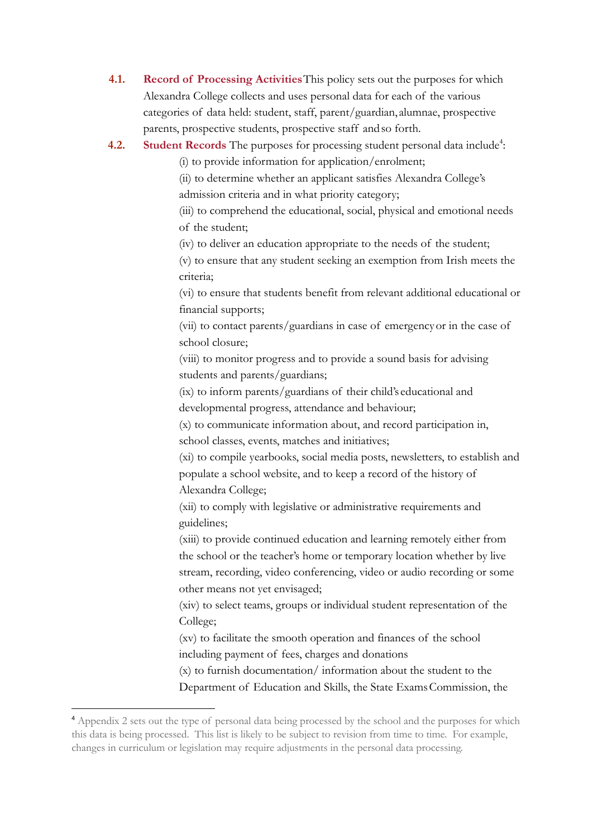**4.1. Record of Processing Activities**This policy sets out the purposes for which Alexandra College collects and uses personal data for each of the various categories of data held: student, staff, parent/guardian, alumnae, prospective parents, prospective students, prospective staff andso forth.

## **4.2.** Student Records The purposes for processing student personal data include<sup>4</sup>:

(i) to provide information for application/enrolment;

(ii) to determine whether an applicant satisfies Alexandra College's admission criteria and in what priority category;

(iii) to comprehend the educational, social, physical and emotional needs of the student;

(iv) to deliver an education appropriate to the needs of the student;

(v) to ensure that any student seeking an exemption from Irish meets the criteria;

(vi) to ensure that students benefit from relevant additional educational or financial supports;

(vii) to contact parents/guardians in case of emergencyor in the case of school closure;

(viii) to monitor progress and to provide a sound basis for advising students and parents/guardians;

(ix) to inform parents/guardians of their child's educational and developmental progress, attendance and behaviour;

(x) to communicate information about, and record participation in, school classes, events, matches and initiatives;

(xi) to compile yearbooks, social media posts, newsletters, to establish and populate a school website, and to keep a record of the history of Alexandra College;

(xii) to comply with legislative or administrative requirements and guidelines;

(xiii) to provide continued education and learning remotely either from the school or the teacher's home or temporary location whether by live stream, recording, video conferencing, video or audio recording or some other means not yet envisaged;

(xiv) to select teams, groups or individual student representation of the College;

(xv) to facilitate the smooth operation and finances of the school including payment of fees, charges and donations

(x) to furnish documentation/ information about the student to the Department of Education and Skills, the State ExamsCommission, the

<sup>4</sup> Appendix 2 sets out the type of personal data being processed by the school and the purposes for which this data is being processed. This list is likely to be subject to revision from time to time. For example, changes in curriculum or legislation may require adjustments in the personal data processing.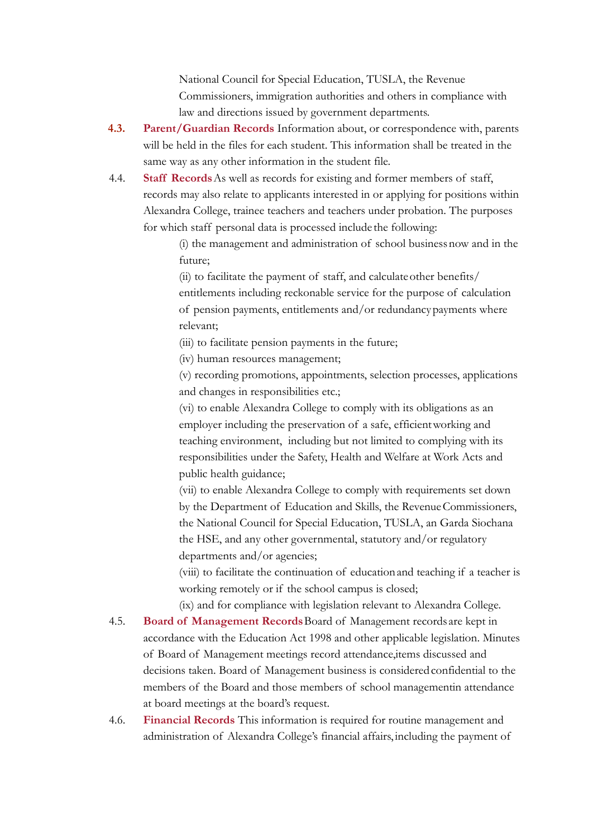National Council for Special Education, TUSLA, the Revenue Commissioners, immigration authorities and others in compliance with law and directions issued by government departments.

- **4.3. Parent/Guardian Records** Information about, or correspondence with, parents will be held in the files for each student. This information shall be treated in the same way as any other information in the student file.
- 4.4. **Staff Records**As well as records for existing and former members of staff, records may also relate to applicants interested in or applying for positions within Alexandra College, trainee teachers and teachers under probation. The purposes for which staff personal data is processed include the following:

(i) the management and administration of school businessnow and in the future;

(ii) to facilitate the payment of staff, and calculateother benefits/ entitlements including reckonable service for the purpose of calculation of pension payments, entitlements and/or redundancy payments where relevant;

(iii) to facilitate pension payments in the future;

(iv) human resources management;

(v) recording promotions, appointments, selection processes, applications and changes in responsibilities etc.;

(vi) to enable Alexandra College to comply with its obligations as an employer including the preservation of a safe, efficientworking and teaching environment, including but not limited to complying with its responsibilities under the Safety, Health and Welfare at Work Acts and public health guidance;

(vii) to enable Alexandra College to comply with requirements set down by the Department of Education and Skills, the Revenue Commissioners, the National Council for Special Education, TUSLA, an Garda Siochana the HSE, and any other governmental, statutory and/or regulatory departments and/or agencies;

(viii) to facilitate the continuation of educationand teaching if a teacher is working remotely or if the school campus is closed;

(ix) and for compliance with legislation relevant to Alexandra College.

- 4.5. **Board of Management Records**Board of Management records are kept in accordance with the Education Act 1998 and other applicable legislation. Minutes of Board of Management meetings record attendance,items discussed and decisions taken. Board of Management business is considered confidential to the members of the Board and those members of school managementin attendance at board meetings at the board's request.
- 4.6. **Financial Records** This information is required for routine management and administration of Alexandra College's financial affairs, including the payment of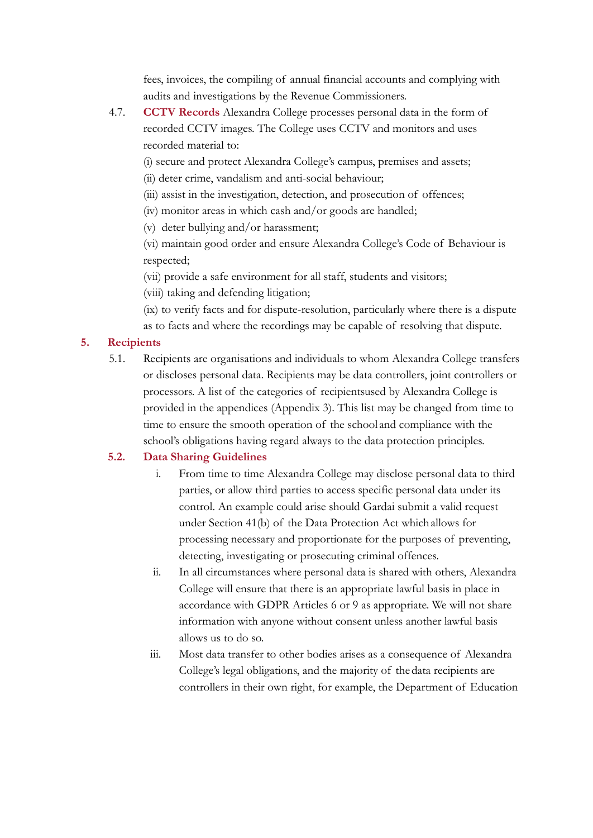fees, invoices, the compiling of annual financial accounts and complying with audits and investigations by the Revenue Commissioners.

4.7. **CCTV Records** Alexandra College processes personal data in the form of recorded CCTV images. The College uses CCTV and monitors and uses recorded material to:

(i) secure and protect Alexandra College's campus, premises and assets;

(ii) deter crime, vandalism and anti-social behaviour;

- (iii) assist in the investigation, detection, and prosecution of offences;
- (iv) monitor areas in which cash and/or goods are handled;

(v) deter bullying and/or harassment;

(vi) maintain good order and ensure Alexandra College's Code of Behaviour is respected;

(vii) provide a safe environment for all staff, students and visitors;

(viii) taking and defending litigation;

(ix) to verify facts and for dispute-resolution, particularly where there is a dispute as to facts and where the recordings may be capable of resolving that dispute.

## **5. Recipients**

5.1. Recipients are organisations and individuals to whom Alexandra College transfers or discloses personal data. Recipients may be data controllers, joint controllers or processors. A list of the categories of recipientsused by Alexandra College is provided in the appendices (Appendix 3). This list may be changed from time to time to ensure the smooth operation of the school and compliance with the school's obligations having regard always to the data protection principles.

# **5.2. Data Sharing Guidelines**

- i. From time to time Alexandra College may disclose personal data to third parties, or allow third parties to access specific personal data under its control. An example could arise should Gardai submit a valid request under Section 41(b) of the Data Protection Act whichallows for processing necessary and proportionate for the purposes of preventing, detecting, investigating or prosecuting criminal offences.
- ii. In all circumstances where personal data is shared with others, Alexandra College will ensure that there is an appropriate lawful basis in place in accordance with GDPR Articles 6 or 9 as appropriate. We will not share information with anyone without consent unless another lawful basis allows us to do so.
- iii. Most data transfer to other bodies arises as a consequence of Alexandra College's legal obligations, and the majority of thedata recipients are controllers in their own right, for example, the Department of Education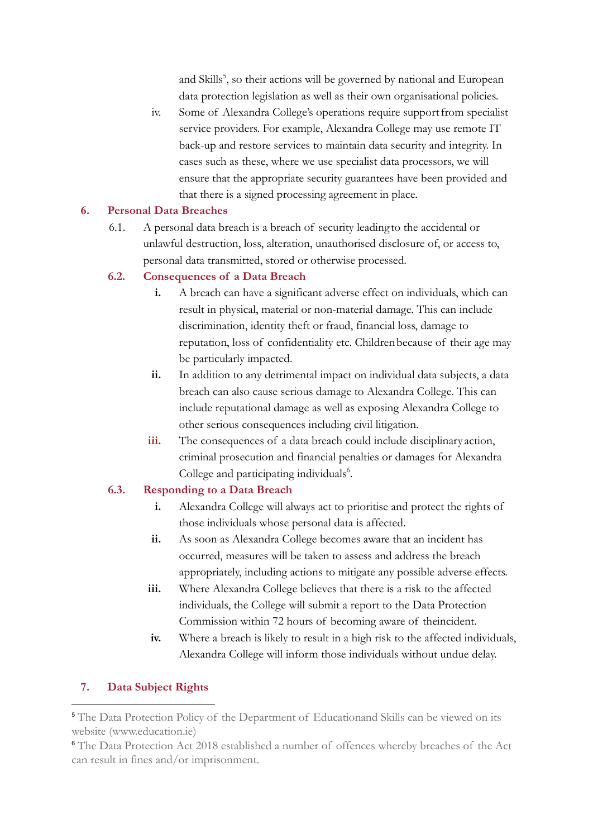and Skills<sup>5</sup>, so their actions will be governed by national and European data protection legislation as well as their own organisational policies.

iv. Some of Alexandra College's operations require supportfrom specialist service providers. For example, Alexandra College may use remote IT back-up and restore services to maintain data security and integrity. In cases such as these, where we use specialist data processors, we will ensure that the appropriate security guarantees have been provided and that there is a signed processing agreement in place.

## **6. Personal Data Breaches**

6.1. A personal data breach is a breach of security leading to the accidental or unlawful destruction, loss, alteration, unauthorised disclosure of, or access to, personal data transmitted, stored or otherwise processed.

## **6.2. Consequences of a Data Breach**

- **i.** A breach can have a significant adverse effect on individuals, which can result in physical, material or non-material damage. This can include discrimination, identity theft or fraud, financial loss, damage to reputation, loss of confidentiality etc. Childrenbecause of their age may be particularly impacted.
- **ii.** In addition to any detrimental impact on individual data subjects, a data breach can also cause serious damage to Alexandra College. This can include reputational damage as well as exposing Alexandra College to other serious consequences including civil litigation.
- iii. The consequences of a data breach could include disciplinary action, criminal prosecution and financial penalties or damages for Alexandra College and participating individuals<sup>6</sup>.

## **6.3. Responding to a Data Breach**

- **i.** Alexandra College will always act to prioritise and protect the rights of those individuals whose personal data is affected.
- **ii.** As soon as Alexandra College becomes aware that an incident has occurred, measures will be taken to assess and address the breach appropriately, including actions to mitigate any possible adverse effects.
- **iii.** Where Alexandra College believes that there is a risk to the affected individuals, the College will submit a report to the Data Protection Commission within 72 hours of becoming aware of theincident.
- **iv.** Where a breach is likely to result in a high risk to the affected individuals, Alexandra College will inform those individuals without undue delay.

# **7. Data Subject Rights**

<sup>5</sup> The Data Protection Policy of the Department of Educationand Skills can be viewed on its website (www.education.ie)

<sup>6</sup> The Data Protection Act 2018 established a number of offences whereby breaches of the Act can result in fines and/or imprisonment.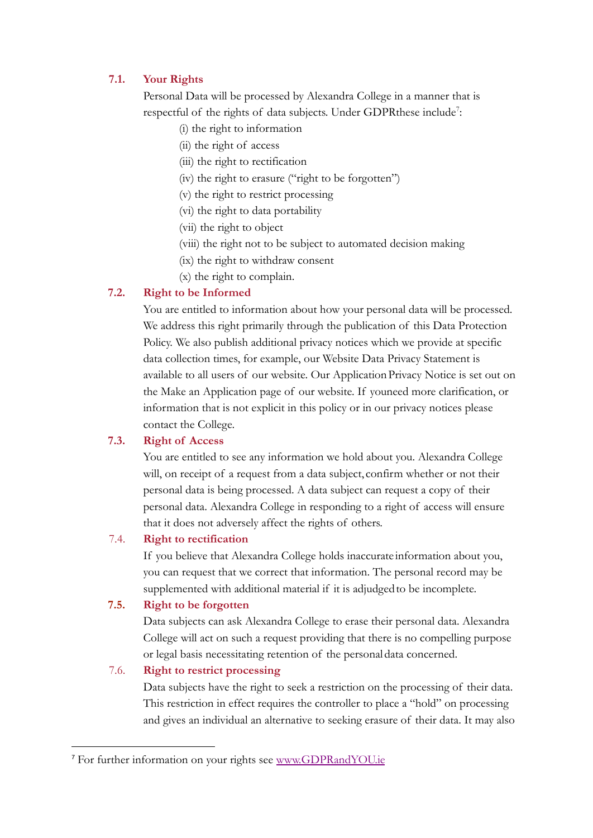## **7.1. Your Rights**

Personal Data will be processed by Alexandra College in a manner that is respectful of the rights of data subjects. Under GDPRthese include<sup>7</sup>:

- (i) the right to information
- (ii) the right of access
- (iii) the right to rectification
- (iv) the right to erasure ("right to be forgotten")
- (v) the right to restrict processing
- (vi) the right to data portability
- (vii) the right to object
- (viii) the right not to be subject to automated decision making
- (ix) the right to withdraw consent
- (x) the right to complain.

## **7.2. Right to be Informed**

You are entitled to information about how your personal data will be processed. We address this right primarily through the publication of this Data Protection Policy. We also publish additional privacy notices which we provide at specific data collection times, for example, our Website Data Privacy Statement is available to all users of our website. Our ApplicationPrivacy Notice is set out on the Make an Application page of our website. If youneed more clarification, or information that is not explicit in this policy or in our privacy notices please contact the College.

## **7.3. Right of Access**

You are entitled to see any information we hold about you. Alexandra College will, on receipt of a request from a data subject, confirm whether or not their personal data is being processed. A data subject can request a copy of their personal data. Alexandra College in responding to a right of access will ensure that it does not adversely affect the rights of others.

#### 7.4. **Right to rectification**

If you believe that Alexandra College holds inaccurate information about you, you can request that we correct that information. The personal record may be supplemented with additional material if it is adjudgedto be incomplete.

## **7.5. Right to be forgotten**

Data subjects can ask Alexandra College to erase their personal data. Alexandra College will act on such a request providing that there is no compelling purpose or legal basis necessitating retention of the personaldata concerned.

#### 7.6. **Right to restrict processing**

Data subjects have the right to seek a restriction on the processing of their data. This restriction in effect requires the controller to place a "hold" on processing and gives an individual an alternative to seeking erasure of their data. It may also

<sup>7</sup> For further information on your rights see [www.GDPRandYOU.ie](http://www.gdprandyou.ie)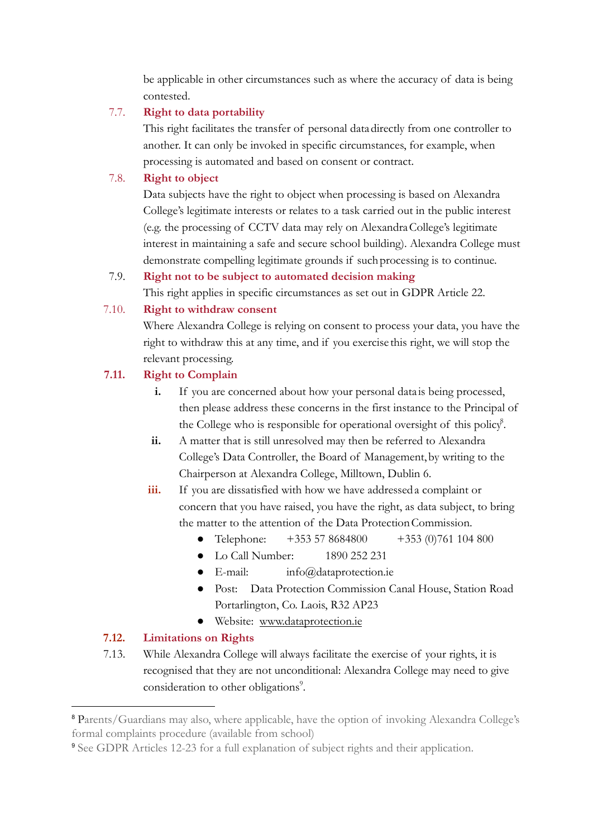be applicable in other circumstances such as where the accuracy of data is being contested.

#### 7.7. **Right to data portability**

This right facilitates the transfer of personal datadirectly from one controller to another. It can only be invoked in specific circumstances, for example, when processing is automated and based on consent or contract.

#### 7.8. **Right to object**

Data subjects have the right to object when processing is based on Alexandra College's legitimate interests or relates to a task carried out in the public interest (e.g. the processing of CCTV data may rely on AlexandraCollege's legitimate interest in maintaining a safe and secure school building). Alexandra College must demonstrate compelling legitimate grounds if suchprocessing is to continue.

#### 7.9. **Right not to be subject to automated decision making**

This right applies in specific circumstances as set out in GDPR Article 22.

#### 7.10. **Right to withdraw consent**

Where Alexandra College is relying on consent to process your data, you have the right to withdraw this at any time, and if you exercise this right, we will stop the relevant processing.

## **7.11. Right to Complain**

- **i.** If you are concerned about how your personal data is being processed, then please address these concerns in the first instance to the Principal of the College who is responsible for operational oversight of this policy<sup>8</sup>.
- **ii.** A matter that is still unresolved may then be referred to Alexandra College's Data Controller, the Board of Management,by writing to the Chairperson at Alexandra College, Milltown, Dublin 6.
- iii. If you are dissatisfied with how we have addressed a complaint or concern that you have raised, you have the right, as data subject, to bring the matter to the attention of the Data Protection Commission.
	- **●** Telephone: +353 57 8684800 +353 (0)761 104 800
	- Lo Call Number: 1890 252 231
	- E-mail: info@dataprotection.ie
	- **●** Post: Data Protection Commission Canal House, Station Road Portarlington, Co. Laois, R32 AP23
	- **●** Website: [www.dataprotection.ie](http://www.dataprotection.ie)

## **7.12. Limitations on Rights**

7.13. While Alexandra College will always facilitate the exercise of your rights, it is recognised that they are not unconditional: Alexandra College may need to give consideration to other obligations<sup>9</sup>.

<sup>8</sup> Parents/Guardians may also, where applicable, have the option of invoking Alexandra College's formal complaints procedure (available from school)

<sup>&</sup>lt;sup>9</sup> See GDPR Articles 12-23 for a full explanation of subject rights and their application.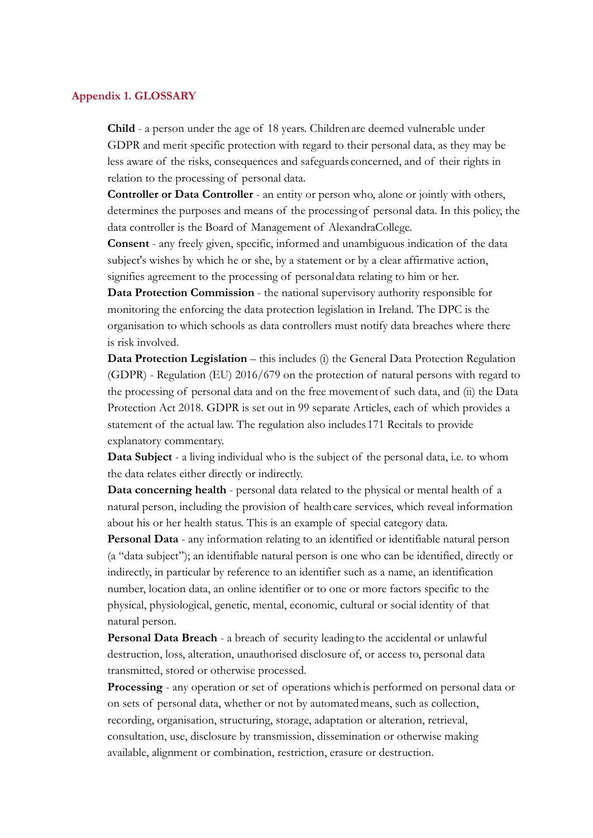#### **Appendix 1. GLOSSARY**

**Child** - a person under the age of 18 years. Childrenare deemed vulnerable under GDPR and merit specific protection with regard to their personal data, as they may be less aware of the risks, consequences and safeguards concerned, and of their rights in relation to the processing of personal data.

**Controller or Data Controller** - an entity or person who, alone or jointly with others, determines the purposes and means of the processingof personal data. In this policy, the data controller is the Board of Management of AlexandraCollege.

**Consent** - any freely given, specific, informed and unambiguous indication of the data subject's wishes by which he or she, by a statement or by a clear affirmative action, signifies agreement to the processing of personaldata relating to him or her.

**Data Protection Commission** - the national supervisory authority responsible for monitoring the enforcing the data protection legislation in Ireland. The DPC is the organisation to which schools as data controllers must notify data breaches where there is risk involved.

**Data Protection Legislation** – this includes (i) the General Data Protection Regulation (GDPR) - Regulation (EU) 2016/679 on the protection of natural persons with regard to the processing of personal data and on the free movementof such data, and (ii) the Data Protection Act 2018. GDPR is set out in 99 separate Articles, each of which provides a statement of the actual law. The regulation also includes 171 Recitals to provide explanatory commentary.

**Data Subject** - a living individual who is the subject of the personal data, i.e. to whom the data relates either directly or indirectly.

**Data concerning health** - personal data related to the physical or mental health of a natural person, including the provision of health care services, which reveal information about his or her health status. This is an example of special category data.

**Personal Data** - any information relating to an identified or identifiable natural person (a "data subject"); an identifiable natural person is one who can be identified, directly or indirectly, in particular by reference to an identifier such as a name, an identification number, location data, an online identifier or to one or more factors specific to the physical, physiological, genetic, mental, economic, cultural or social identity of that natural person.

**Personal Data Breach** - a breach of security leading to the accidental or unlawful destruction, loss, alteration, unauthorised disclosure of, or access to, personal data transmitted, stored or otherwise processed.

**Processing** - any operation or set of operations whichis performed on personal data or on sets of personal data, whether or not by automatedmeans, such as collection, recording, organisation, structuring, storage, adaptation or alteration, retrieval, consultation, use, disclosure by transmission, dissemination or otherwise making available, alignment or combination, restriction, erasure or destruction.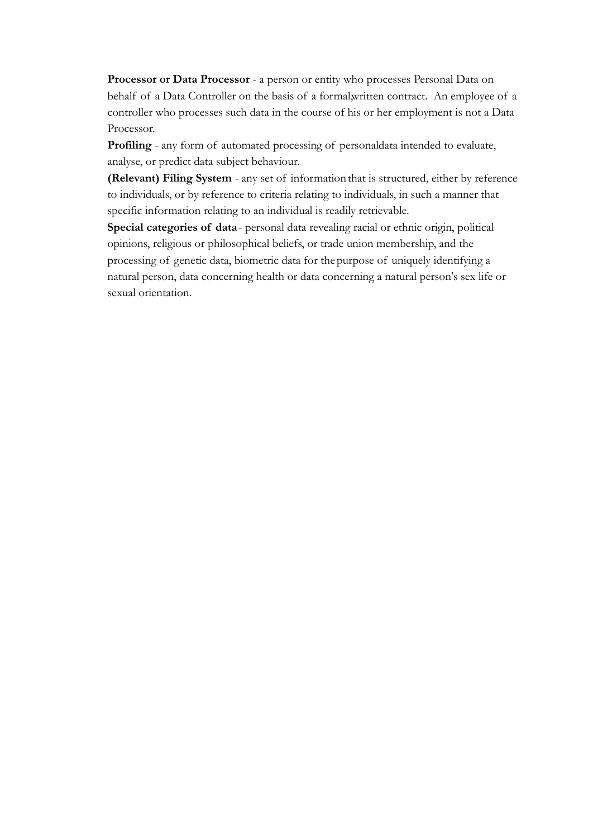**Processor or Data Processor** - a person or entity who processes Personal Data on behalf of a Data Controller on the basis of a formal,written contract. An employee of a controller who processes such data in the course of his or her employment is not a Data Processor.

**Profiling** - any form of automated processing of personaldata intended to evaluate, analyse, or predict data subject behaviour.

**(Relevant) Filing System** - any set of informationthat is structured, either by reference to individuals, or by reference to criteria relating to individuals, in such a manner that specific information relating to an individual is readily retrievable.

**Special categories of data**- personal data revealing racial or ethnic origin, political opinions, religious or philosophical beliefs, or trade union membership, and the processing of genetic data, biometric data for the purpose of uniquely identifying a natural person, data concerning health or data concerning a natural person's sex life or sexual orientation.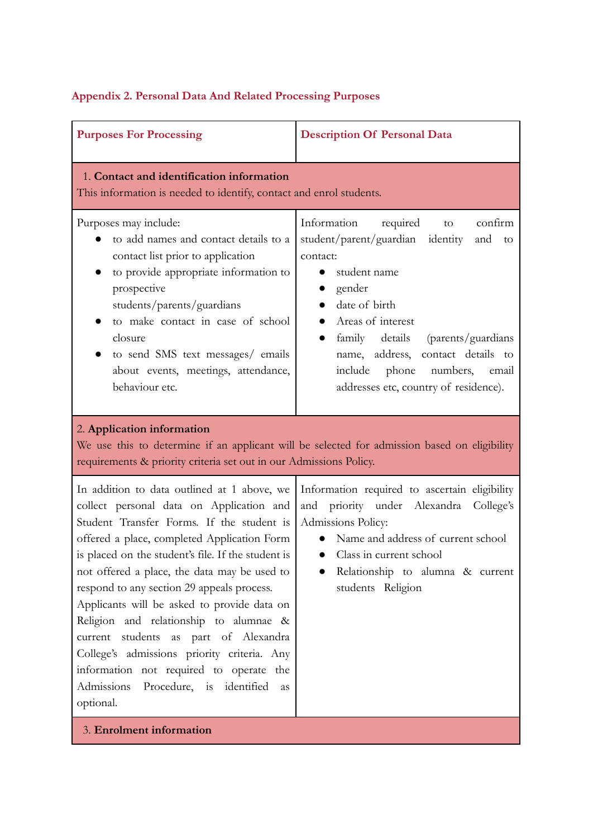|  |  |  | Appendix 2. Personal Data And Related Processing Purposes |  |
|--|--|--|-----------------------------------------------------------|--|
|  |  |  |                                                           |  |

| <b>Purposes For Processing</b>                                                                                                                                                                                                                                                                                                                                                                                                                                                                                                                                                                                                   | <b>Description Of Personal Data</b>                                                                                                                                                                                                                                                                                            |  |  |
|----------------------------------------------------------------------------------------------------------------------------------------------------------------------------------------------------------------------------------------------------------------------------------------------------------------------------------------------------------------------------------------------------------------------------------------------------------------------------------------------------------------------------------------------------------------------------------------------------------------------------------|--------------------------------------------------------------------------------------------------------------------------------------------------------------------------------------------------------------------------------------------------------------------------------------------------------------------------------|--|--|
| 1. Contact and identification information<br>This information is needed to identify, contact and enrol students.                                                                                                                                                                                                                                                                                                                                                                                                                                                                                                                 |                                                                                                                                                                                                                                                                                                                                |  |  |
| Purposes may include:<br>to add names and contact details to a<br>contact list prior to application<br>to provide appropriate information to<br>prospective<br>students/parents/guardians<br>to make contact in case of school<br>closure<br>to send SMS text messages/ emails<br>about events, meetings, attendance,<br>behaviour etc.                                                                                                                                                                                                                                                                                          | Information<br>required<br>confirm<br>to<br>student/parent/guardian identity<br>and<br>to<br>contact:<br>student name<br>gender<br>date of birth<br>Areas of interest<br>family details<br>(parents/guardians<br>name, address, contact details to<br>include phone<br>numbers, email<br>addresses etc, country of residence). |  |  |
| 2. Application information<br>We use this to determine if an applicant will be selected for admission based on eligibility<br>requirements & priority criteria set out in our Admissions Policy.                                                                                                                                                                                                                                                                                                                                                                                                                                 |                                                                                                                                                                                                                                                                                                                                |  |  |
| In addition to data outlined at 1 above, we<br>collect personal data on Application and<br>Student Transfer Forms. If the student is<br>offered a place, completed Application Form<br>is placed on the student's file. If the student is<br>not offered a place, the data may be used to<br>respond to any section 29 appeals process.<br>Applicants will be asked to provide data on<br>Religion and relationship to alumnae &<br>current students as part of Alexandra<br>College's admissions priority criteria. Any<br>information not required to operate the<br>Admissions<br>Procedure, is identified<br>as<br>optional. | Information required to ascertain eligibility<br>priority under Alexandra<br>College's<br>and<br>Admissions Policy:<br>Name and address of current school<br>Class in current school<br>$\bullet$<br>Relationship to alumna & current<br>students Religion                                                                     |  |  |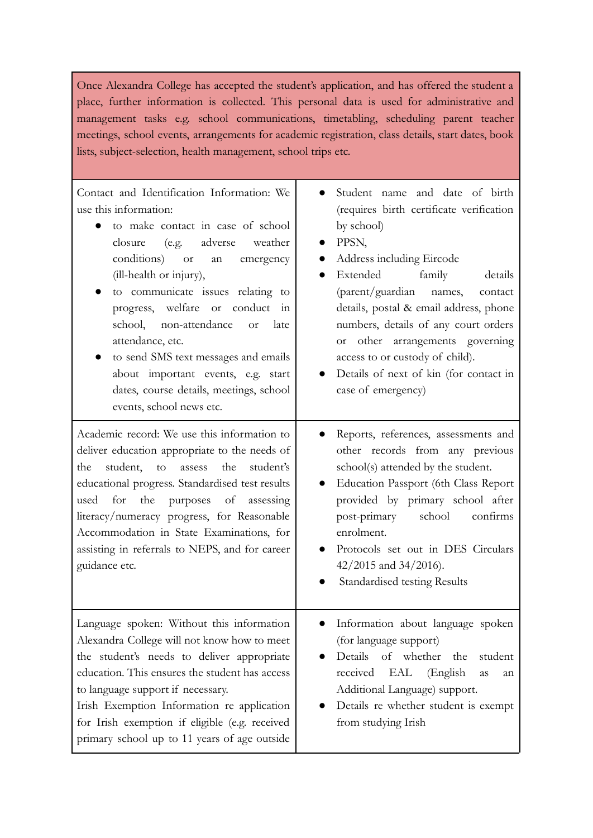Once Alexandra College has accepted the student's application, and has offered the student a place, further information is collected. This personal data is used for administrative and management tasks e.g. school communications, timetabling, scheduling parent teacher meetings, school events, arrangements for academic registration, class details, start dates, book lists, subject-selection, health management, school trips etc.

т

| Contact and Identification Information: We<br>use this information:<br>to make contact in case of school<br>$\bullet$<br>adverse<br>weather<br>closure<br>(e.g.<br>conditions)<br><sub>or</sub><br>emergency<br>an<br>(ill-health or injury),<br>to communicate issues relating to<br>$\bullet$<br>progress, welfare<br>conduct in<br><b>or</b><br>school, non-attendance<br>late<br><b>or</b><br>attendance, etc.<br>to send SMS text messages and emails<br>$\bullet$<br>about important events, e.g. start<br>dates, course details, meetings, school<br>events, school news etc. | Student name and date of birth<br>(requires birth certificate verification<br>by school)<br>PPSN,<br>Address including Eircode<br>Extended<br>family<br>details<br>(parent/guardian<br>names,<br>contact<br>details, postal & email address, phone<br>numbers, details of any court orders<br>or other arrangements governing<br>access to or custody of child).<br>Details of next of kin (for contact in<br>case of emergency) |
|--------------------------------------------------------------------------------------------------------------------------------------------------------------------------------------------------------------------------------------------------------------------------------------------------------------------------------------------------------------------------------------------------------------------------------------------------------------------------------------------------------------------------------------------------------------------------------------|----------------------------------------------------------------------------------------------------------------------------------------------------------------------------------------------------------------------------------------------------------------------------------------------------------------------------------------------------------------------------------------------------------------------------------|
| Academic record: We use this information to<br>deliver education appropriate to the needs of<br>student,<br>the<br>student's<br>the<br>to<br>assess<br>educational progress. Standardised test results<br>used<br>for<br>the purposes of<br>assessing<br>literacy/numeracy progress, for Reasonable<br>Accommodation in State Examinations, for<br>assisting in referrals to NEPS, and for career<br>guidance etc.                                                                                                                                                                   | Reports, references, assessments and<br>$\bullet$<br>other records from any previous<br>school(s) attended by the student.<br>Education Passport (6th Class Report<br>provided by primary school after<br>post-primary<br>school<br>confirms<br>enrolment.<br>Protocols set out in DES Circulars<br>$\bullet$<br>$42/2015$ and $34/2016$ ).<br>Standardised testing Results                                                      |
| Language spoken: Without this information<br>Alexandra College will not know how to meet<br>the student's needs to deliver appropriate<br>education. This ensures the student has access<br>to language support if necessary.<br>Irish Exemption Information re application<br>for Irish exemption if eligible (e.g. received<br>primary school up to 11 years of age outside                                                                                                                                                                                                        | Information about language spoken<br>(for language support)<br>Details of whether<br>the<br>student<br>received<br>EAL<br>(English<br>as<br>an<br>Additional Language) support.<br>Details re whether student is exempt<br>from studying Irish                                                                                                                                                                                   |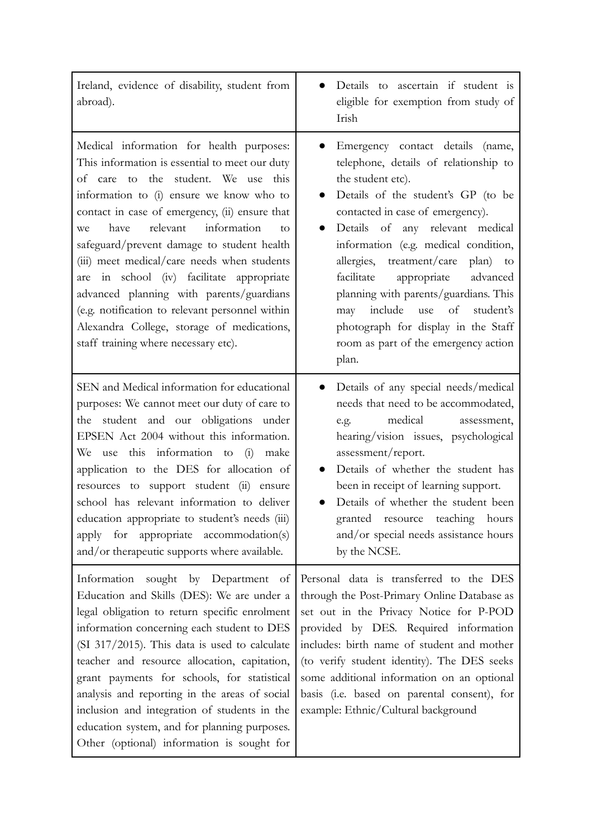| Ireland, evidence of disability, student from<br>abroad).                                                                                                                                                                                                                                                                                                                                                                                                                                                                                                                                                     | Details to ascertain if student is<br>eligible for exemption from study of<br>Irish                                                                                                                                                                                                                                                                                                                                                                                                                                                       |
|---------------------------------------------------------------------------------------------------------------------------------------------------------------------------------------------------------------------------------------------------------------------------------------------------------------------------------------------------------------------------------------------------------------------------------------------------------------------------------------------------------------------------------------------------------------------------------------------------------------|-------------------------------------------------------------------------------------------------------------------------------------------------------------------------------------------------------------------------------------------------------------------------------------------------------------------------------------------------------------------------------------------------------------------------------------------------------------------------------------------------------------------------------------------|
| Medical information for health purposes:<br>This information is essential to meet our duty<br>of care to the student. We use this<br>information to (i) ensure we know who to<br>contact in case of emergency, (ii) ensure that<br>relevant<br>information<br>have<br>we<br>to<br>safeguard/prevent damage to student health<br>(iii) meet medical/care needs when students<br>are in school (iv) facilitate appropriate<br>advanced planning with parents/guardians<br>(e.g. notification to relevant personnel within<br>Alexandra College, storage of medications,<br>staff training where necessary etc). | Emergency contact details (name,<br>$\bullet$<br>telephone, details of relationship to<br>the student etc).<br>Details of the student's GP (to be<br>$\bullet$<br>contacted in case of emergency).<br>Details of any relevant medical<br>information (e.g. medical condition,<br>allergies, treatment/care plan) to<br>facilitate<br>appropriate<br>advanced<br>planning with parents/guardians. This<br>include<br>of<br>student's<br>use<br>may<br>photograph for display in the Staff<br>room as part of the emergency action<br>plan. |
| SEN and Medical information for educational<br>purposes: We cannot meet our duty of care to<br>the student and our obligations under<br>EPSEN Act 2004 without this information.<br>We use this information to (i)<br>make<br>application to the DES for allocation of<br>resources to support student (ii) ensure<br>school has relevant information to deliver<br>education appropriate to student's needs (iii)<br>for appropriate accommodation(s)<br>apply<br>and/or therapeutic supports where available.                                                                                               | Details of any special needs/medical<br>needs that need to be accommodated,<br>medical<br>e.g.<br>assessment,<br>hearing/vision issues, psychological<br>assessment/report.<br>Details of whether the student has<br>been in receipt of learning support.<br>Details of whether the student been<br>granted resource teaching hours<br>and/or special needs assistance hours<br>by the NCSE.                                                                                                                                              |
| sought by Department of<br>Information<br>Education and Skills (DES): We are under a<br>legal obligation to return specific enrolment<br>information concerning each student to DES<br>$(SI 317/2015)$ . This data is used to calculate<br>teacher and resource allocation, capitation,<br>grant payments for schools, for statistical<br>analysis and reporting in the areas of social<br>inclusion and integration of students in the<br>education system, and for planning purposes.<br>Other (optional) information is sought for                                                                         | Personal data is transferred to the DES<br>through the Post-Primary Online Database as<br>set out in the Privacy Notice for P-POD<br>provided by DES. Required information<br>includes: birth name of student and mother<br>(to verify student identity). The DES seeks<br>some additional information on an optional<br>basis (i.e. based on parental consent), for<br>example: Ethnic/Cultural background                                                                                                                               |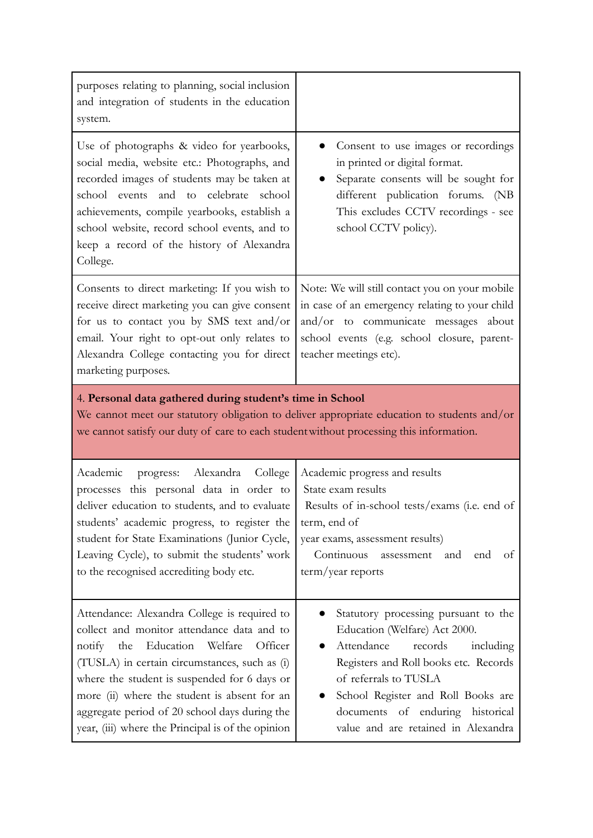| purposes relating to planning, social inclusion<br>and integration of students in the education<br>system.                                                                                                                                                                                                                                                                                            |                                                                                                                                                                                                                                                                                                |  |
|-------------------------------------------------------------------------------------------------------------------------------------------------------------------------------------------------------------------------------------------------------------------------------------------------------------------------------------------------------------------------------------------------------|------------------------------------------------------------------------------------------------------------------------------------------------------------------------------------------------------------------------------------------------------------------------------------------------|--|
| Use of photographs & video for yearbooks,<br>social media, website etc.: Photographs, and<br>recorded images of students may be taken at<br>school events and to celebrate school<br>achievements, compile yearbooks, establish a<br>school website, record school events, and to<br>keep a record of the history of Alexandra<br>College.                                                            | Consent to use images or recordings<br>in printed or digital format.<br>Separate consents will be sought for<br>different publication forums. (NB<br>This excludes CCTV recordings - see<br>school CCTV policy).                                                                               |  |
| Consents to direct marketing: If you wish to<br>receive direct marketing you can give consent<br>for us to contact you by SMS text and/or<br>email. Your right to opt-out only relates to<br>Alexandra College contacting you for direct<br>marketing purposes.                                                                                                                                       | Note: We will still contact you on your mobile<br>in case of an emergency relating to your child<br>and/or to communicate messages about<br>school events (e.g. school closure, parent-<br>teacher meetings etc).                                                                              |  |
| 4. Personal data gathered during student's time in School<br>We cannot meet our statutory obligation to deliver appropriate education to students and/or<br>we cannot satisfy our duty of care to each student without processing this information.                                                                                                                                                   |                                                                                                                                                                                                                                                                                                |  |
| Alexandra<br>College<br>Academic<br>progress:<br>processes this personal data in order to<br>deliver education to students, and to evaluate<br>students' academic progress, to register the<br>student for State Examinations (Junior Cycle,<br>Leaving Cycle), to submit the students' work<br>to the recognised accrediting body etc.                                                               | Academic progress and results<br>State exam results<br>Results of in-school tests/exams (i.e. end of<br>term, end of<br>year exams, assessment results)<br>Continuous<br>assessment<br>and<br>end<br>of<br>term/year reports                                                                   |  |
| Attendance: Alexandra College is required to<br>collect and monitor attendance data and to<br>Education<br>Welfare<br>Officer<br>notify<br>the<br>(TUSLA) in certain circumstances, such as (i)<br>where the student is suspended for 6 days or<br>more (ii) where the student is absent for an<br>aggregate period of 20 school days during the<br>year, (iii) where the Principal is of the opinion | Statutory processing pursuant to the<br>Education (Welfare) Act 2000.<br>Attendance<br>records<br>including<br>Registers and Roll books etc. Records<br>of referrals to TUSLA<br>School Register and Roll Books are<br>documents of enduring historical<br>value and are retained in Alexandra |  |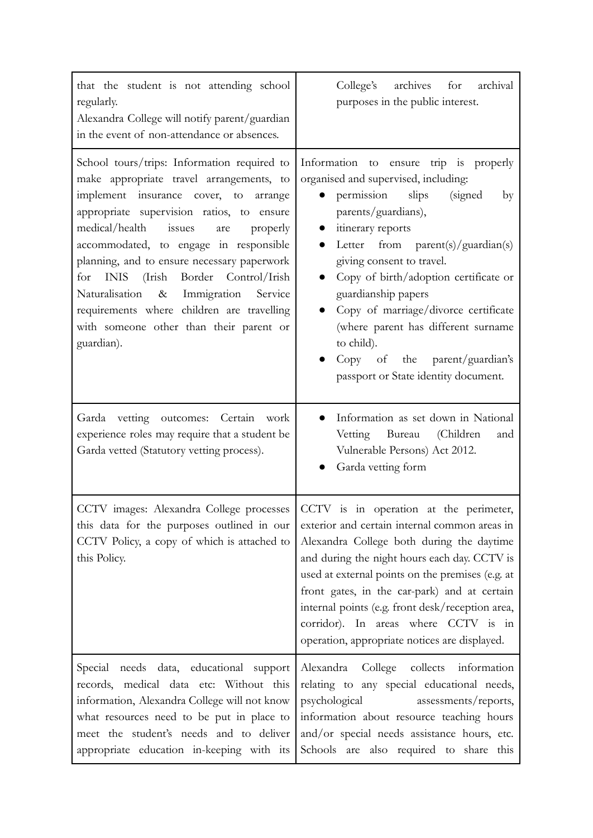| that the student is not attending school<br>regularly.<br>Alexandra College will notify parent/guardian<br>in the event of non-attendance or absences.                                                                                                                                                                                                                                                                                                                                                                                   | College's<br>archives<br>for<br>archival<br>purposes in the public interest.                                                                                                                                                                                                                                                                                                                                                                                                  |  |
|------------------------------------------------------------------------------------------------------------------------------------------------------------------------------------------------------------------------------------------------------------------------------------------------------------------------------------------------------------------------------------------------------------------------------------------------------------------------------------------------------------------------------------------|-------------------------------------------------------------------------------------------------------------------------------------------------------------------------------------------------------------------------------------------------------------------------------------------------------------------------------------------------------------------------------------------------------------------------------------------------------------------------------|--|
| School tours/trips: Information required to<br>make appropriate travel arrangements, to<br>insurance cover, to<br>implement<br>arrange<br>appropriate supervision ratios, to ensure<br>medical/health<br>issues<br>properly<br>are<br>accommodated, to engage in responsible<br>planning, and to ensure necessary paperwork<br><b>INIS</b><br>Border Control/Irish<br>(Irish<br>for<br>Naturalisation<br>& Immigration<br>Service<br>requirements where children are travelling<br>with someone other than their parent or<br>guardian). | Information to ensure trip is properly<br>organised and supervised, including:<br>permission<br>slips<br>(signed)<br>by<br>parents/guardians),<br>itinerary reports<br>Letter from $parent(s)/quantian(s)$<br>giving consent to travel.<br>Copy of birth/adoption certificate or<br>guardianship papers<br>Copy of marriage/divorce certificate<br>(where parent has different surname<br>to child).<br>Copy of the parent/guardian's<br>passport or State identity document. |  |
| Garda vetting outcomes: Certain<br>work<br>experience roles may require that a student be<br>Garda vetted (Statutory vetting process).                                                                                                                                                                                                                                                                                                                                                                                                   | Information as set down in National<br>Bureau (Children<br>Vetting<br>and<br>Vulnerable Persons) Act 2012.<br>Garda vetting form                                                                                                                                                                                                                                                                                                                                              |  |
| CCTV images: Alexandra College processes<br>this data for the purposes outlined in our<br>CCTV Policy, a copy of which is attached to<br>this Policy.                                                                                                                                                                                                                                                                                                                                                                                    | CCTV is in operation at the perimeter,<br>exterior and certain internal common areas in<br>Alexandra College both during the daytime<br>and during the night hours each day. CCTV is<br>used at external points on the premises (e.g. at<br>front gates, in the car-park) and at certain<br>internal points (e.g. front desk/reception area,<br>corridor). In areas where CCTV is in<br>operation, appropriate notices are displayed.                                         |  |
| Special needs data, educational support<br>records, medical data etc: Without this<br>information, Alexandra College will not know<br>what resources need to be put in place to<br>meet the student's needs and to deliver<br>appropriate education in-keeping with its                                                                                                                                                                                                                                                                  | Alexandra College collects information<br>relating to any special educational needs,<br>psychological<br>assessments/reports,<br>information about resource teaching hours<br>and/or special needs assistance hours, etc.<br>Schools are also required to share this                                                                                                                                                                                                          |  |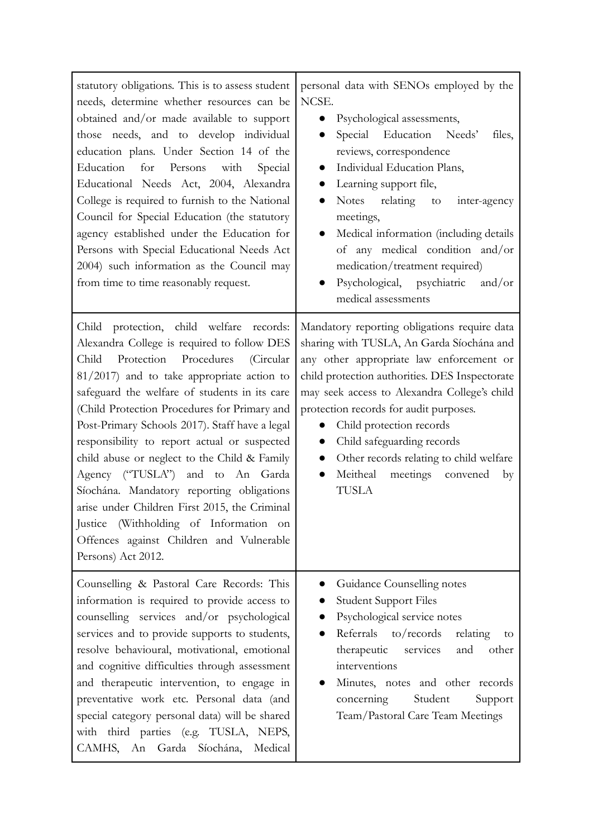| statutory obligations. This is to assess student<br>needs, determine whether resources can be<br>obtained and/or made available to support<br>those needs, and to develop individual<br>education plans. Under Section 14 of the<br>Education<br>for<br>Persons<br>with<br>Special<br>Educational Needs Act, 2004, Alexandra<br>College is required to furnish to the National<br>Council for Special Education (the statutory<br>agency established under the Education for<br>Persons with Special Educational Needs Act<br>2004) such information as the Council may<br>from time to time reasonably request.                                                                               | personal data with SENOs employed by the<br>NCSE.<br>Psychological assessments,<br>Special Education Needs'<br>files,<br>$\bullet$<br>reviews, correspondence<br>Individual Education Plans,<br>Learning support file,<br>$\bullet$<br>Notes relating<br>to<br>inter-agency<br>$\bullet$<br>meetings,<br>Medical information (including details<br>$\bullet$<br>of any medical condition and/or<br>medication/treatment required)<br>Psychological, psychiatric<br>and/or<br>medical assessments |
|------------------------------------------------------------------------------------------------------------------------------------------------------------------------------------------------------------------------------------------------------------------------------------------------------------------------------------------------------------------------------------------------------------------------------------------------------------------------------------------------------------------------------------------------------------------------------------------------------------------------------------------------------------------------------------------------|--------------------------------------------------------------------------------------------------------------------------------------------------------------------------------------------------------------------------------------------------------------------------------------------------------------------------------------------------------------------------------------------------------------------------------------------------------------------------------------------------|
| protection, child welfare records:<br>Child<br>Alexandra College is required to follow DES<br>Protection<br>Child<br>Procedures<br>(Circular<br>$81/2017$ ) and to take appropriate action to<br>safeguard the welfare of students in its care<br>(Child Protection Procedures for Primary and<br>Post-Primary Schools 2017). Staff have a legal<br>responsibility to report actual or suspected<br>child abuse or neglect to the Child & Family<br>Agency ("TUSLA") and to An Garda<br>Síochána. Mandatory reporting obligations<br>arise under Children First 2015, the Criminal<br>Justice (Withholding of Information on<br>Offences against Children and Vulnerable<br>Persons) Act 2012. | Mandatory reporting obligations require data<br>sharing with TUSLA, An Garda Síochána and<br>any other appropriate law enforcement or<br>child protection authorities. DES Inspectorate<br>may seek access to Alexandra College's child<br>protection records for audit purposes.<br>Child protection records<br>Child safeguarding records<br>$\bullet$<br>Other records relating to child welfare<br>$\bullet$<br>meetings convened<br>Meitheal<br>$\bullet$<br>by<br><b>TUSLA</b>             |
| Counselling & Pastoral Care Records: This<br>information is required to provide access to<br>counselling services and/or psychological<br>services and to provide supports to students,<br>resolve behavioural, motivational, emotional<br>and cognitive difficulties through assessment<br>and therapeutic intervention, to engage in<br>preventative work etc. Personal data (and<br>special category personal data) will be shared<br>with third parties (e.g. TUSLA, NEPS,<br>CAMHS, An<br>Garda<br>Síochána,<br>Medical                                                                                                                                                                   | Guidance Counselling notes<br><b>Student Support Files</b><br>Psychological service notes<br>Referrals to/records<br>relating<br>to<br>therapeutic services<br>and<br>other<br>interventions<br>Minutes, notes and other records<br>Student<br>concerning<br>Support<br>Team/Pastoral Care Team Meetings                                                                                                                                                                                         |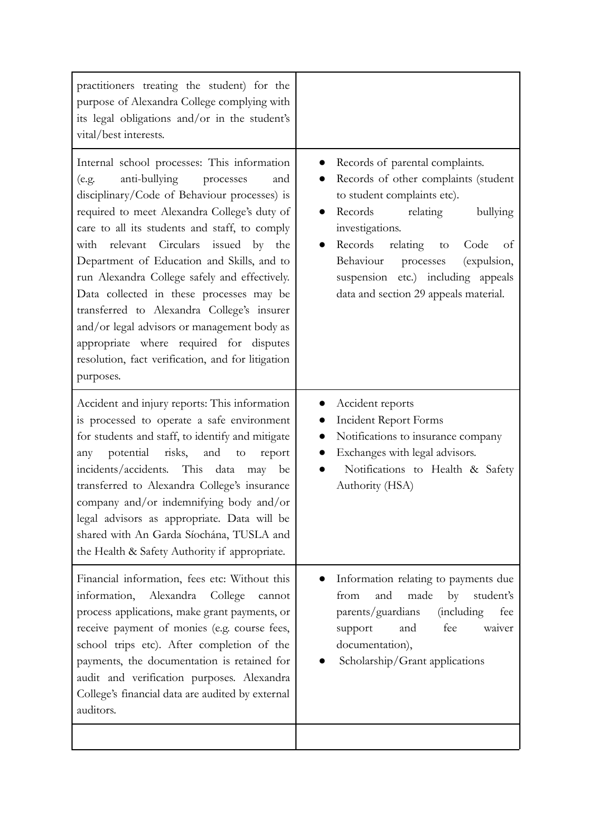| practitioners treating the student) for the<br>purpose of Alexandra College complying with<br>its legal obligations and/or in the student's<br>vital/best interests.                                                                                                                                                                                                                                                                                                                                                                                                                                                                     |                                                                                                                                                                                                                                                                                                                              |
|------------------------------------------------------------------------------------------------------------------------------------------------------------------------------------------------------------------------------------------------------------------------------------------------------------------------------------------------------------------------------------------------------------------------------------------------------------------------------------------------------------------------------------------------------------------------------------------------------------------------------------------|------------------------------------------------------------------------------------------------------------------------------------------------------------------------------------------------------------------------------------------------------------------------------------------------------------------------------|
| Internal school processes: This information<br>anti-bullying<br>processes<br>(e.g.<br>and<br>disciplinary/Code of Behaviour processes) is<br>required to meet Alexandra College's duty of<br>care to all its students and staff, to comply<br>with relevant Circulars issued by the<br>Department of Education and Skills, and to<br>run Alexandra College safely and effectively.<br>Data collected in these processes may be<br>transferred to Alexandra College's insurer<br>and/or legal advisors or management body as<br>appropriate where required for disputes<br>resolution, fact verification, and for litigation<br>purposes. | Records of parental complaints.<br>Records of other complaints (student<br>to student complaints etc).<br>Records<br>relating<br>bullying<br>investigations.<br>Records<br>relating<br>Code<br>to<br>of<br>Behaviour processes<br>(expulsion,<br>suspension etc.) including appeals<br>data and section 29 appeals material. |
| Accident and injury reports: This information<br>is processed to operate a safe environment<br>for students and staff, to identify and mitigate<br>potential risks,<br>and to<br>any<br>report<br>incidents/accidents. This data<br>may be<br>transferred to Alexandra College's insurance<br>company and/or indemnifying body and/or<br>legal advisors as appropriate. Data will be<br>shared with An Garda Síochána, TUSLA and<br>the Health & Safety Authority if appropriate.                                                                                                                                                        | Accident reports<br>$\bullet$<br><b>Incident Report Forms</b><br>Notifications to insurance company<br>Exchanges with legal advisors.<br>Notifications to Health & Safety<br>Authority (HSA)                                                                                                                                 |
| Financial information, fees etc: Without this<br>information,<br>Alexandra<br>College<br>cannot<br>process applications, make grant payments, or<br>receive payment of monies (e.g. course fees,<br>school trips etc). After completion of the<br>payments, the documentation is retained for<br>audit and verification purposes. Alexandra<br>College's financial data are audited by external<br>auditors.                                                                                                                                                                                                                             | Information relating to payments due<br>from<br>and<br>made<br>by<br>student's<br><i>(including</i><br>parents/guardians<br>fee<br>and<br>fee<br>support<br>waiver<br>documentation),<br>Scholarship/Grant applications                                                                                                      |
|                                                                                                                                                                                                                                                                                                                                                                                                                                                                                                                                                                                                                                          |                                                                                                                                                                                                                                                                                                                              |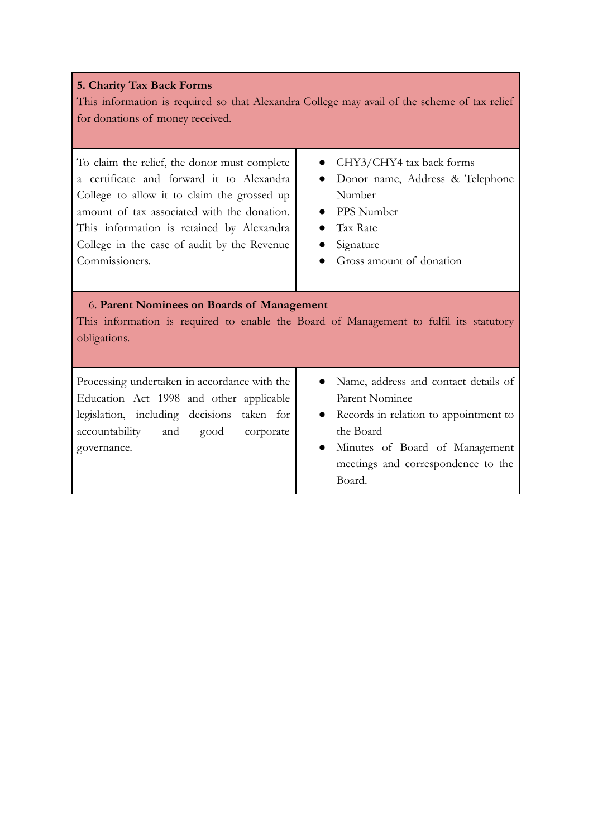#### **5. Charity Tax Back Forms**

This information is required so that Alexandra College may avail of the scheme of tax relief for donations of money received.

To claim the relief, the donor must complete a certificate and forward it to Alexandra College to allow it to claim the grossed up amount of tax associated with the donation. This information is retained by Alexandra College in the case of audit by the Revenue Commissioners.

- CHY3/CHY4 tax back forms
- Donor name, Address & Telephone Number
- PPS Number
- Tax Rate
- Signature
- Gross amount of donation

#### 6. **Parent Nominees on Boards of Management**

This information is required to enable the Board of Management to fulfil its statutory obligations.

Processing undertaken in accordance with the Education Act 1998 and other applicable legislation, including decisions taken for accountability and good corporate governance.

- Name, address and contact details of Parent Nominee
- Records in relation to appointment to the Board
- Minutes of Board of Management meetings and correspondence to the Board.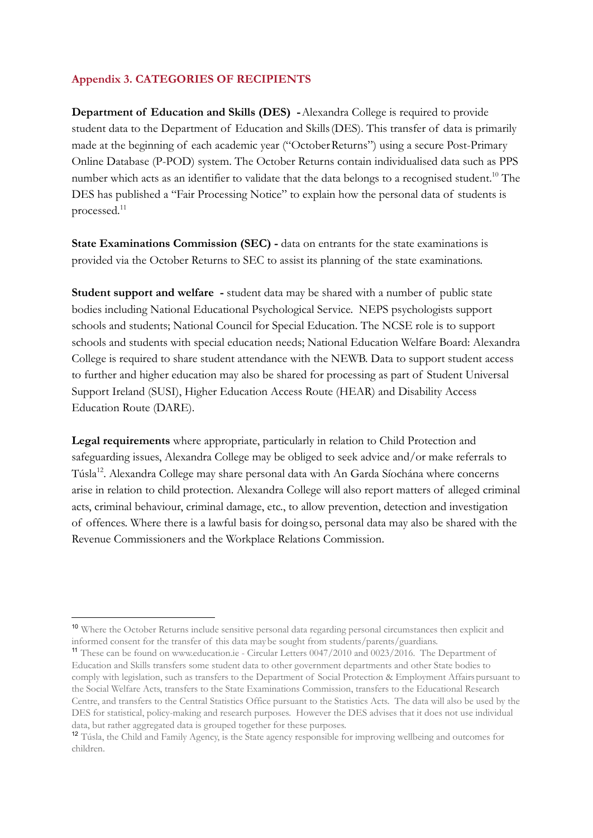## **Appendix 3. CATEGORIES OF RECIPIENTS**

**Department of Education and Skills (DES) -**Alexandra College is required to provide student data to the Department of Education and Skills(DES). This transfer of data is primarily made at the beginning of each academic year ("OctoberReturns") using a secure Post-Primary Online Database (P-POD) system. The October Returns contain individualised data such as PPS number which acts as an identifier to validate that the data belongs to a recognised student.<sup>10</sup> The DES has published a "Fair Processing Notice" to explain how the personal data of students is processed.<sup>11</sup>

**State Examinations Commission (SEC) -** data on entrants for the state examinations is provided via the October Returns to SEC to assist its planning of the state examinations.

**Student support and welfare -** student data may be shared with a number of public state bodies including National Educational Psychological Service. NEPS psychologists support schools and students; National Council for Special Education. The NCSE role is to support schools and students with special education needs; National Education Welfare Board: Alexandra College is required to share student attendance with the NEWB. Data to support student access to further and higher education may also be shared for processing as part of Student Universal Support Ireland (SUSI), Higher Education Access Route (HEAR) and Disability Access Education Route (DARE).

**Legal requirements** where appropriate, particularly in relation to Child Protection and safeguarding issues, Alexandra College may be obliged to seek advice and/or make referrals to Túsla<sup>12</sup>. Alexandra College may share personal data with An Garda Síochána where concerns arise in relation to child protection. Alexandra College will also report matters of alleged criminal acts, criminal behaviour, criminal damage, etc., to allow prevention, detection and investigation of offences. Where there is a lawful basis for doing so, personal data may also be shared with the Revenue Commissioners and the Workplace Relations Commission.

<sup>10</sup> Where the October Returns include sensitive personal data regarding personal circumstances then explicit and informed consent for the transfer of this data maybe sought from students/parents/guardians.

<sup>11</sup> These can be found on www.education.ie - Circular Letters 0047/2010 and 0023/2016. The Department of Education and Skills transfers some student data to other government departments and other State bodies to comply with legislation, such as transfers to the Department of Social Protection & Employment Affairs pursuant to the Social Welfare Acts, transfers to the State Examinations Commission, transfers to the Educational Research Centre, and transfers to the Central Statistics Office pursuant to the Statistics Acts. The data will also be used by the DES for statistical, policy-making and research purposes. However the DES advises that it does not use individual data, but rather aggregated data is grouped together for these purposes.

<sup>12</sup> Túsla, the Child and Family Agency, is the State agency responsible for improving wellbeing and outcomes for children.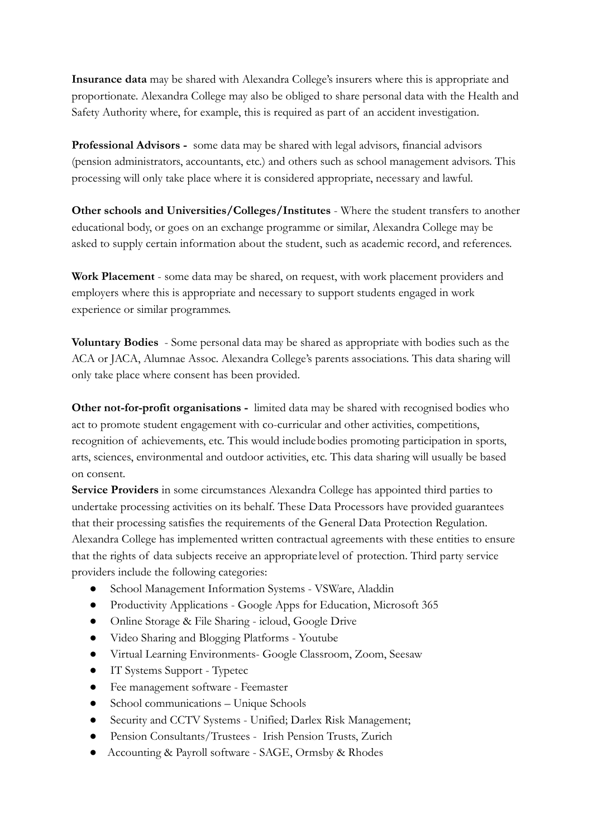**Insurance data** may be shared with Alexandra College's insurers where this is appropriate and proportionate. Alexandra College may also be obliged to share personal data with the Health and Safety Authority where, for example, this is required as part of an accident investigation.

**Professional Advisors -** some data may be shared with legal advisors, financial advisors (pension administrators, accountants, etc.) and others such as school management advisors. This processing will only take place where it is considered appropriate, necessary and lawful.

**Other schools and Universities/Colleges/Institutes** - Where the student transfers to another educational body, or goes on an exchange programme or similar, Alexandra College may be asked to supply certain information about the student, such as academic record, and references.

**Work Placement** - some data may be shared, on request, with work placement providers and employers where this is appropriate and necessary to support students engaged in work experience or similar programmes.

**Voluntary Bodies** - Some personal data may be shared as appropriate with bodies such as the ACA or JACA, Alumnae Assoc. Alexandra College's parents associations. This data sharing will only take place where consent has been provided.

**Other not-for-profit organisations -** limited data may be shared with recognised bodies who act to promote student engagement with co-curricular and other activities, competitions, recognition of achievements, etc. This would includebodies promoting participation in sports, arts, sciences, environmental and outdoor activities, etc. This data sharing will usually be based on consent.

**Service Providers** in some circumstances Alexandra College has appointed third parties to undertake processing activities on its behalf. These Data Processors have provided guarantees that their processing satisfies the requirements of the General Data Protection Regulation. Alexandra College has implemented written contractual agreements with these entities to ensure that the rights of data subjects receive an appropriate level of protection. Third party service providers include the following categories:

- School Management Information Systems VSWare, Aladdin
- Productivity Applications Google Apps for Education, Microsoft 365
- Online Storage & File Sharing icloud, Google Drive
- Video Sharing and Blogging Platforms Youtube
- Virtual Learning Environments- Google Classroom, Zoom, Seesaw
- IT Systems Support Typetec
- Fee management software Feemaster
- School communications Unique Schools
- Security and CCTV Systems Unified; Darlex Risk Management;
- Pension Consultants/Trustees Irish Pension Trusts, Zurich
- Accounting & Payroll software SAGE, Ormsby & Rhodes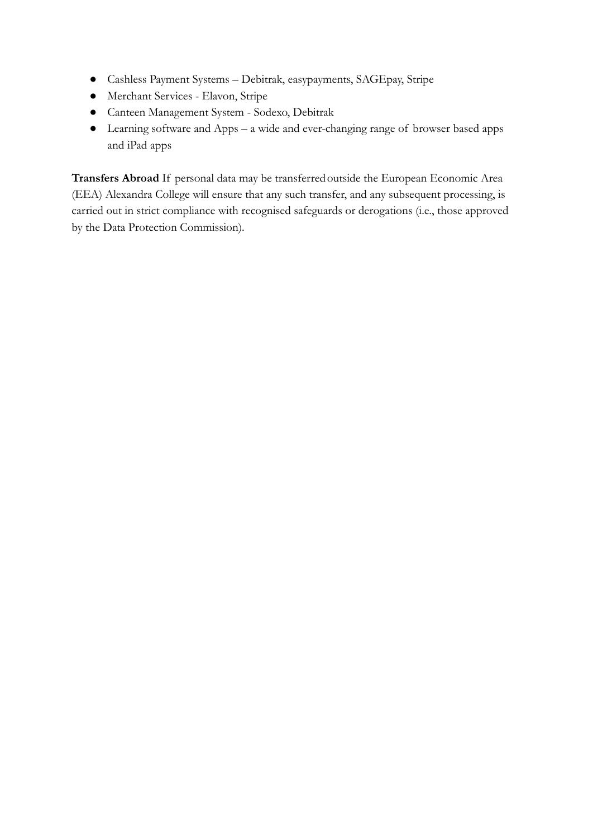- Cashless Payment Systems Debitrak, easypayments, SAGEpay, Stripe
- Merchant Services Elavon, Stripe
- Canteen Management System Sodexo, Debitrak
- Learning software and Apps a wide and ever-changing range of browser based apps and iPad apps

Transfers Abroad If personal data may be transferred outside the European Economic Area (EEA) Alexandra College will ensure that any such transfer, and any subsequent processing, is carried out in strict compliance with recognised safeguards or derogations (i.e., those approved by the Data Protection Commission).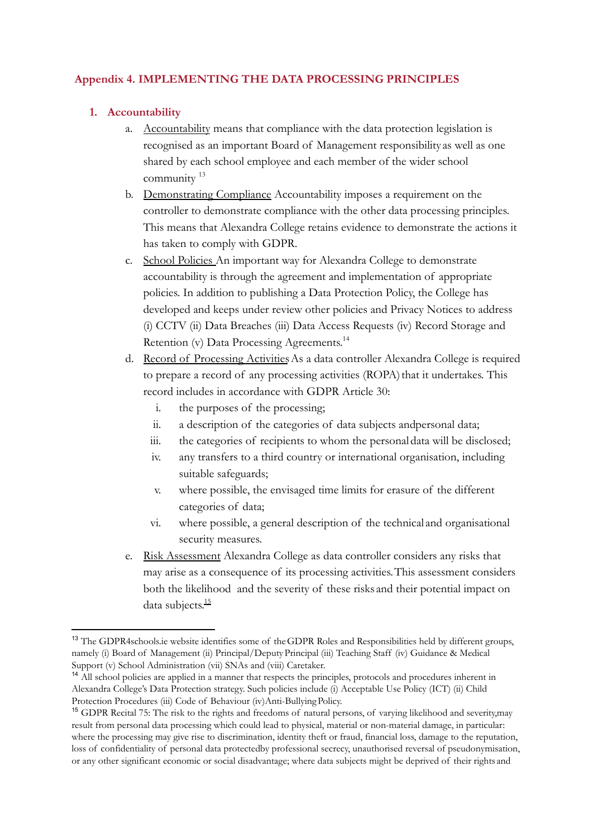## **Appendix 4. IMPLEMENTING THE DATA PROCESSING PRINCIPLES**

## **1. Accountability**

- a. Accountability means that compliance with the data protection legislation is recognised as an important Board of Management responsibility as well as one shared by each school employee and each member of the wider school community<sup>13</sup>
- b. Demonstrating Compliance Accountability imposes a requirement on the controller to demonstrate compliance with the other data processing principles. This means that Alexandra College retains evidence to demonstrate the actions it has taken to comply with GDPR.
- c. School Policies An important way for Alexandra College to demonstrate accountability is through the agreement and implementation of appropriate policies. In addition to publishing a Data Protection Policy, the College has developed and keeps under review other policies and Privacy Notices to address (i) CCTV (ii) Data Breaches (iii) Data Access Requests (iv) Record Storage and Retention (v) Data Processing Agreements.<sup>14</sup>
- d. Record of Processing Activities As a data controller Alexandra College is required to prepare a record of any processing activities (ROPA) that it undertakes. This record includes in accordance with GDPR Article 30:
	- i. the purposes of the processing;
	- ii. a description of the categories of data subjects andpersonal data;
	- iii. the categories of recipients to whom the personal data will be disclosed;
	- iv. any transfers to a third country or international organisation, including suitable safeguards;
	- v. where possible, the envisaged time limits for erasure of the different categories of data;
	- vi. where possible, a general description of the technical and organisational security measures.
- e. Risk Assessment Alexandra College as data controller considers any risks that may arise as a consequence of its processing activities.This assessment considers both the likelihood and the severity of these risks and their potential impact on data subjects. 15

<sup>13</sup> The GDPR4schools.ie website identifies some of theGDPR Roles and Responsibilities held by different groups, namely (i) Board of Management (ii) Principal/DeputyPrincipal (iii) Teaching Staff (iv) Guidance & Medical Support (v) School Administration (vii) SNAs and (viii) Caretaker.

<sup>&</sup>lt;sup>14</sup> All school policies are applied in a manner that respects the principles, protocols and procedures inherent in Alexandra College's Data Protection strategy. Such policies include (i) Acceptable Use Policy (ICT) (ii) Child Protection Procedures (iii) Code of Behaviour (iv)Anti-Bullying Policy.

<sup>&</sup>lt;sup>15</sup> GDPR Recital 75: The risk to the rights and freedoms of natural persons, of varying likelihood and severity,may result from personal data processing which could lead to physical, material or non-material damage, in particular: where the processing may give rise to discrimination, identity theft or fraud, financial loss, damage to the reputation, loss of confidentiality of personal data protectedby professional secrecy, unauthorised reversal of pseudonymisation, or any other significant economic or social disadvantage; where data subjects might be deprived of their rights and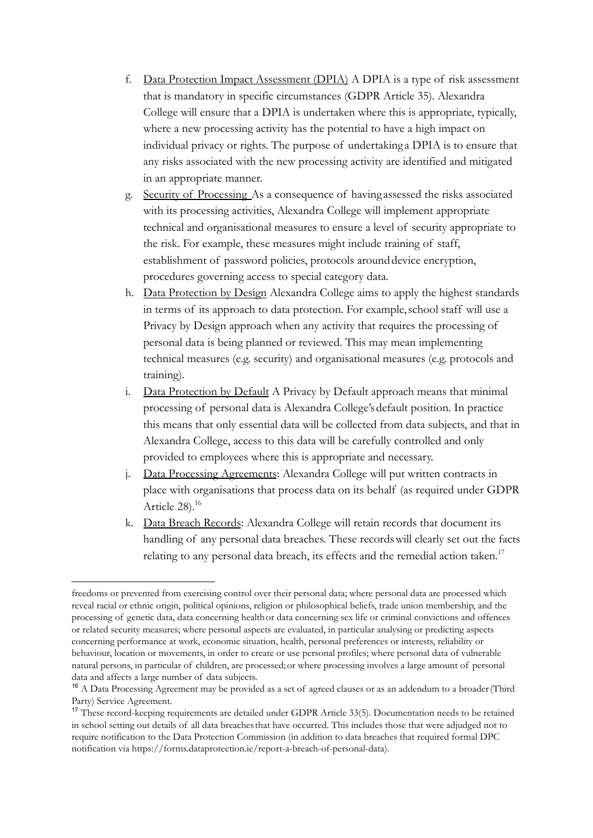- f. Data Protection Impact Assessment (DPIA) A DPIA is a type of risk assessment that is mandatory in specific circumstances (GDPR Article 35). Alexandra College will ensure that a DPIA is undertaken where this is appropriate, typically, where a new processing activity has the potential to have a high impact on individual privacy or rights. The purpose of undertaking a DPIA is to ensure that any risks associated with the new processing activity are identified and mitigated in an appropriate manner.
- g. Security of Processing As a consequence of having assessed the risks associated with its processing activities, Alexandra College will implement appropriate technical and organisational measures to ensure a level of security appropriate to the risk. For example, these measures might include training of staff, establishment of password policies, protocols around device encryption, procedures governing access to special category data.
- h. Data Protection by Design Alexandra College aims to apply the highest standards in terms of its approach to data protection. For example,school staff will use a Privacy by Design approach when any activity that requires the processing of personal data is being planned or reviewed. This may mean implementing technical measures (e.g. security) and organisational measures (e.g. protocols and training).
- i. Data Protection by Default A Privacy by Default approach means that minimal processing of personal data is Alexandra College's default position. In practice this means that only essential data will be collected from data subjects, and that in Alexandra College, access to this data will be carefully controlled and only provided to employees where this is appropriate and necessary.
- j. Data Processing Agreements: Alexandra College will put written contracts in place with organisations that process data on its behalf (as required under GDPR Article 28).<sup>16</sup>
- k. Data Breach Records: Alexandra College will retain records that document its handling of any personal data breaches. These recordswill clearly set out the facts relating to any personal data breach, its effects and the remedial action taken.<sup>17</sup>

freedoms or prevented from exercising control over their personal data; where personal data are processed which reveal racial or ethnic origin, political opinions, religion or philosophical beliefs, trade union membership, and the processing of genetic data, data concerning healthor data concerning sex life or criminal convictions and offences or related security measures; where personal aspects are evaluated, in particular analysing or predicting aspects concerning performance at work, economic situation, health, personal preferences or interests, reliability or behaviour, location or movements, in order to create or use personal profiles; where personal data of vulnerable natural persons, in particular of children, are processed;or where processing involves a large amount of personal data and affects a large number of data subjects.

<sup>&</sup>lt;sup>16</sup> A Data Processing Agreement may be provided as a set of agreed clauses or as an addendum to a broader (Third Party) Service Agreement.

<sup>17</sup> These record-keeping requirements are detailed under GDPR Article 33(5). Documentation needs to be retained in school setting out details of all data breachesthat have occurred. This includes those that were adjudged not to require notification to the Data Protection Commission (in addition to data breaches that required formal DPC notification via https://forms.dataprotection.ie/report-a-breach-of-personal-data).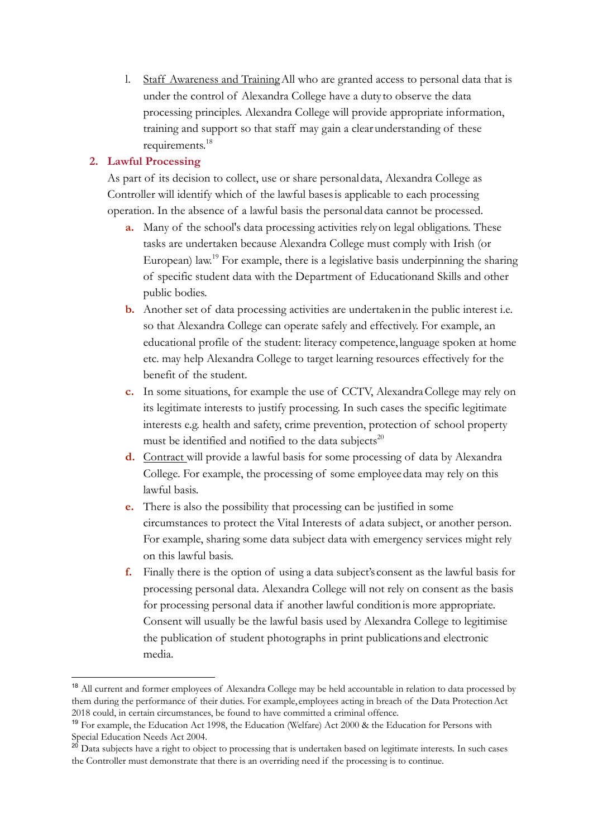l. Staff Awareness and TrainingAll who are granted access to personal data that is under the control of Alexandra College have a duty to observe the data processing principles. Alexandra College will provide appropriate information, training and support so that staff may gain a clearunderstanding of these requirements. 18

#### **2. Lawful Processing**

As part of its decision to collect, use or share personal data, Alexandra College as Controller will identify which of the lawful basesis applicable to each processing operation. In the absence of a lawful basis the personal data cannot be processed.

- **a.** Many of the school's data processing activities relyon legal obligations. These tasks are undertaken because Alexandra College must comply with Irish (or European) law.<sup>19</sup> For example, there is a legislative basis underpinning the sharing of specific student data with the Department of Educationand Skills and other public bodies.
- **b.** Another set of data processing activities are undertaken in the public interest i.e. so that Alexandra College can operate safely and effectively. For example, an educational profile of the student: literacy competence, language spoken at home etc. may help Alexandra College to target learning resources effectively for the benefit of the student.
- **c.** In some situations, for example the use of CCTV, Alexandra College may rely on its legitimate interests to justify processing. In such cases the specific legitimate interests e.g. health and safety, crime prevention, protection of school property must be identified and notified to the data subjects $^{20}$
- **d.** Contract will provide a lawful basis for some processing of data by Alexandra College. For example, the processing of some employeedata may rely on this lawful basis.
- **e.** There is also the possibility that processing can be justified in some circumstances to protect the Vital Interests of adata subject, or another person. For example, sharing some data subject data with emergency services might rely on this lawful basis.
- **f.** Finally there is the option of using a data subject's consent as the lawful basis for processing personal data. Alexandra College will not rely on consent as the basis for processing personal data if another lawful conditionis more appropriate. Consent will usually be the lawful basis used by Alexandra College to legitimise the publication of student photographs in print publications and electronic media.

<sup>&</sup>lt;sup>18</sup> All current and former employees of Alexandra College may be held accountable in relation to data processed by them during the performance of their duties. For example, employees acting in breach of the Data ProtectionAct 2018 could, in certain circumstances, be found to have committed a criminal offence.

<sup>&</sup>lt;sup>19</sup> For example, the Education Act 1998, the Education (Welfare) Act 2000 & the Education for Persons with Special Education Needs Act 2004.

Data subjects have a right to object to processing that is undertaken based on legitimate interests. In such cases the Controller must demonstrate that there is an overriding need if the processing is to continue.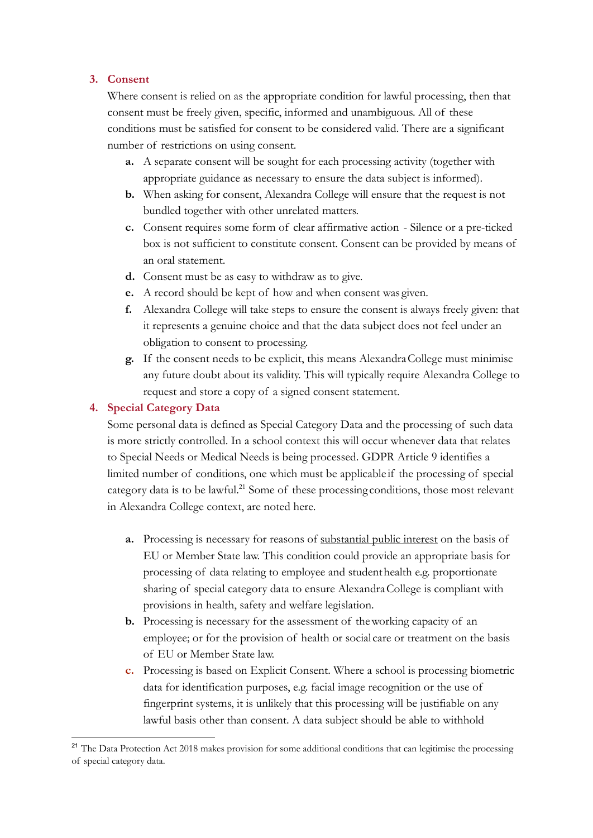#### **3. Consent**

Where consent is relied on as the appropriate condition for lawful processing, then that consent must be freely given, specific, informed and unambiguous. All of these conditions must be satisfied for consent to be considered valid. There are a significant number of restrictions on using consent.

- **a.** A separate consent will be sought for each processing activity (together with appropriate guidance as necessary to ensure the data subject is informed).
- **b.** When asking for consent, Alexandra College will ensure that the request is not bundled together with other unrelated matters.
- **c.** Consent requires some form of clear affirmative action Silence or a pre-ticked box is not sufficient to constitute consent. Consent can be provided by means of an oral statement.
- **d.** Consent must be as easy to withdraw as to give.
- **e.** A record should be kept of how and when consent was given.
- **f.** Alexandra College will take steps to ensure the consent is always freely given: that it represents a genuine choice and that the data subject does not feel under an obligation to consent to processing.
- **g.** If the consent needs to be explicit, this means AlexandraCollege must minimise any future doubt about its validity. This will typically require Alexandra College to request and store a copy of a signed consent statement.

#### **4. Special Category Data**

Some personal data is defined as Special Category Data and the processing of such data is more strictly controlled. In a school context this will occur whenever data that relates to Special Needs or Medical Needs is being processed. GDPR Article 9 identifies a limited number of conditions, one which must be applicable if the processing of special category data is to be lawful.<sup>21</sup> Some of these processing conditions, those most relevant in Alexandra College context, are noted here.

- **a.** Processing is necessary for reasons of substantial public interest on the basis of EU or Member State law. This condition could provide an appropriate basis for processing of data relating to employee and studenthealth e.g. proportionate sharing of special category data to ensure AlexandraCollege is compliant with provisions in health, safety and welfare legislation.
- **b.** Processing is necessary for the assessment of theworking capacity of an employee; or for the provision of health or social care or treatment on the basis of EU or Member State law.
- **c.** Processing is based on Explicit Consent. Where a school is processing biometric data for identification purposes, e.g. facial image recognition or the use of fingerprint systems, it is unlikely that this processing will be justifiable on any lawful basis other than consent. A data subject should be able to withhold

<sup>&</sup>lt;sup>21</sup> The Data Protection Act 2018 makes provision for some additional conditions that can legitimise the processing of special category data.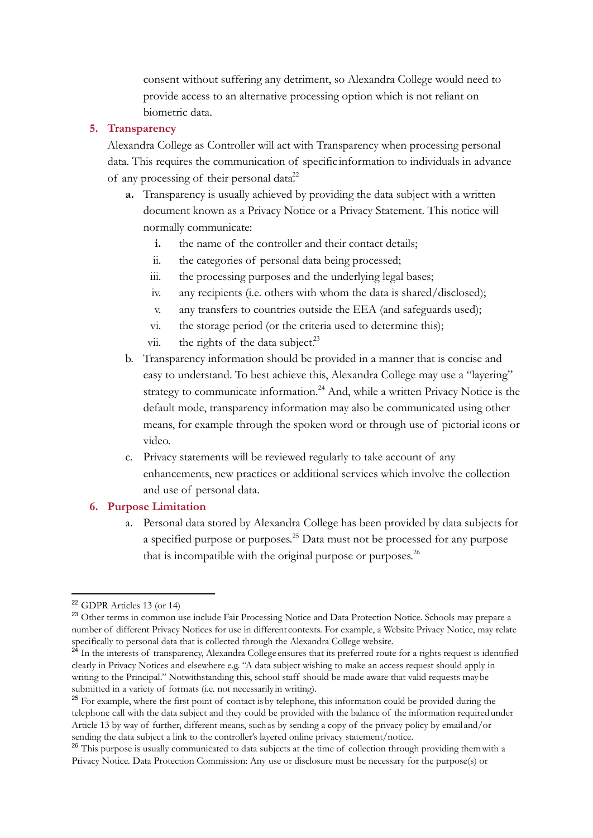consent without suffering any detriment, so Alexandra College would need to provide access to an alternative processing option which is not reliant on biometric data.

#### **5. Transparency**

Alexandra College as Controller will act with Transparency when processing personal data. This requires the communication of specific information to individuals in advance of any processing of their personal data<sup>22</sup>

- **a.** Transparency is usually achieved by providing the data subject with a written document known as a Privacy Notice or a Privacy Statement. This notice will normally communicate:
	- **i.** the name of the controller and their contact details;
	- ii. the categories of personal data being processed;
	- iii. the processing purposes and the underlying legal bases;
	- iv. any recipients (i.e. others with whom the data is shared/disclosed);
	- v. any transfers to countries outside the EEA (and safeguards used);
	- vi. the storage period (or the criteria used to determine this);
	- vii. the rights of the data subject. $^{23}$
- b. Transparency information should be provided in a manner that is concise and easy to understand. To best achieve this, Alexandra College may use a "layering" strategy to communicate information.<sup>24</sup> And, while a written Privacy Notice is the default mode, transparency information may also be communicated using other means, for example through the spoken word or through use of pictorial icons or video.
- c. Privacy statements will be reviewed regularly to take account of any enhancements, new practices or additional services which involve the collection and use of personal data.

#### **6. Purpose Limitation**

a. Personal data stored by Alexandra College has been provided by data subjects for a specified purpose or purposes.<sup>25</sup> Data must not be processed for any purpose that is incompatible with the original purpose or purposes.<sup>26</sup>

<sup>22</sup> GDPR Articles 13 (or 14)

<sup>&</sup>lt;sup>23</sup> Other terms in common use include Fair Processing Notice and Data Protection Notice. Schools may prepare a number of different Privacy Notices for use in different contexts. For example, a Website Privacy Notice, may relate specifically to personal data that is collected through the Alexandra College website.

<sup>&</sup>lt;sup>24</sup> In the interests of transparency, Alexandra College ensures that its preferred route for a rights request is identified clearly in Privacy Notices and elsewhere e.g. "A data subject wishing to make an access request should apply in writing to the Principal." Notwithstanding this, school staff should be made aware that valid requests maybe submitted in a variety of formats (i.e. not necessarily in writing).

<sup>&</sup>lt;sup>25</sup> For example, where the first point of contact is by telephone, this information could be provided during the telephone call with the data subject and they could be provided with the balance of the information requiredunder Article 13 by way of further, different means, suchas by sending a copy of the privacy policy by email and/or sending the data subject a link to the controller's layered online privacy statement/notice.

<sup>&</sup>lt;sup>26</sup> This purpose is usually communicated to data subjects at the time of collection through providing them with a Privacy Notice. Data Protection Commission: Any use or disclosure must be necessary for the purpose(s) or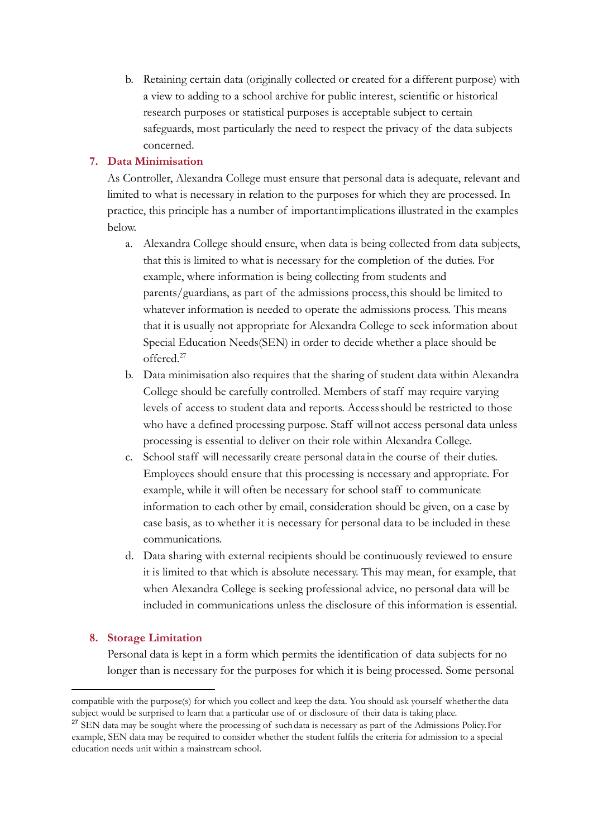b. Retaining certain data (originally collected or created for a different purpose) with a view to adding to a school archive for public interest, scientific or historical research purposes or statistical purposes is acceptable subject to certain safeguards, most particularly the need to respect the privacy of the data subjects concerned.

#### **7. Data Minimisation**

As Controller, Alexandra College must ensure that personal data is adequate, relevant and limited to what is necessary in relation to the purposes for which they are processed. In practice, this principle has a number of importantimplications illustrated in the examples below.

- a. Alexandra College should ensure, when data is being collected from data subjects, that this is limited to what is necessary for the completion of the duties. For example, where information is being collecting from students and parents/guardians, as part of the admissions process,this should be limited to whatever information is needed to operate the admissions process. This means that it is usually not appropriate for Alexandra College to seek information about Special Education Needs(SEN) in order to decide whether a place should be offered.<sup>27</sup>
- b. Data minimisation also requires that the sharing of student data within Alexandra College should be carefully controlled. Members of staff may require varying levels of access to student data and reports. Accessshould be restricted to those who have a defined processing purpose. Staff willnot access personal data unless processing is essential to deliver on their role within Alexandra College.
- c. School staff will necessarily create personal data in the course of their duties. Employees should ensure that this processing is necessary and appropriate. For example, while it will often be necessary for school staff to communicate information to each other by email, consideration should be given, on a case by case basis, as to whether it is necessary for personal data to be included in these communications.
- d. Data sharing with external recipients should be continuously reviewed to ensure it is limited to that which is absolute necessary. This may mean, for example, that when Alexandra College is seeking professional advice, no personal data will be included in communications unless the disclosure of this information is essential.

#### **8. Storage Limitation**

Personal data is kept in a form which permits the identification of data subjects for no longer than is necessary for the purposes for which it is being processed. Some personal

compatible with the purpose(s) for which you collect and keep the data. You should ask yourself whetherthe data subject would be surprised to learn that a particular use of or disclosure of their data is taking place.

<sup>&</sup>lt;sup>27</sup> SEN data may be sought where the processing of such data is necessary as part of the Admissions Policy. For example, SEN data may be required to consider whether the student fulfils the criteria for admission to a special education needs unit within a mainstream school.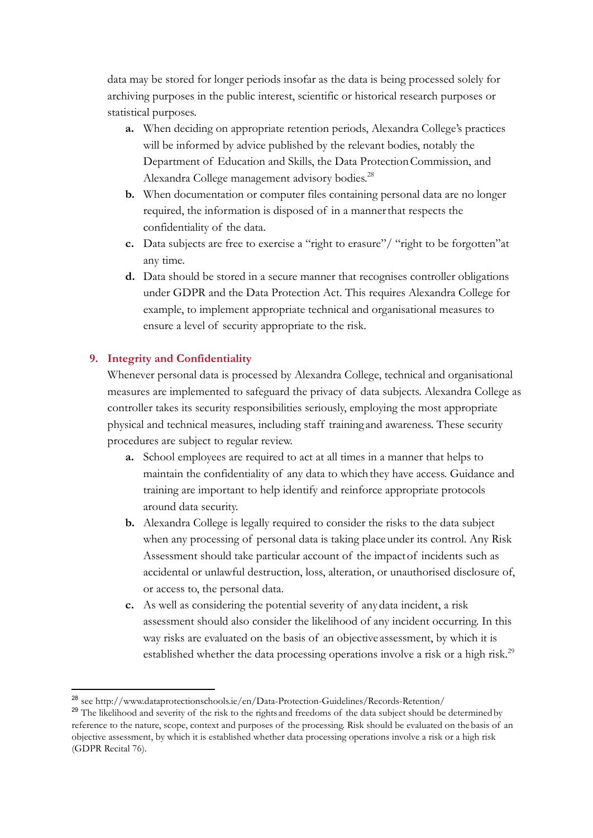data may be stored for longer periods insofar as the data is being processed solely for archiving purposes in the public interest, scientific or historical research purposes or statistical purposes.

- **a.** When deciding on appropriate retention periods, Alexandra College's practices will be informed by advice published by the relevant bodies, notably the Department of Education and Skills, the Data Protection Commission, and Alexandra College management advisory bodies.<sup>28</sup>
- **b.** When documentation or computer files containing personal data are no longer required, the information is disposed of in a mannerthat respects the confidentiality of the data.
- **c.** Data subjects are free to exercise a "right to erasure"/ "right to be forgotten"at any time.
- **d.** Data should be stored in a secure manner that recognises controller obligations under GDPR and the Data Protection Act. This requires Alexandra College for example, to implement appropriate technical and organisational measures to ensure a level of security appropriate to the risk.

# **9. Integrity and Confidentiality**

Whenever personal data is processed by Alexandra College, technical and organisational measures are implemented to safeguard the privacy of data subjects. Alexandra College as controller takes its security responsibilities seriously, employing the most appropriate physical and technical measures, including staff training and awareness. These security procedures are subject to regular review.

- **a.** School employees are required to act at all times in a manner that helps to maintain the confidentiality of any data to whichthey have access. Guidance and training are important to help identify and reinforce appropriate protocols around data security.
- **b.** Alexandra College is legally required to consider the risks to the data subject when any processing of personal data is taking place under its control. Any Risk Assessment should take particular account of the impactof incidents such as accidental or unlawful destruction, loss, alteration, or unauthorised disclosure of, or access to, the personal data.
- **c.** As well as considering the potential severity of anydata incident, a risk assessment should also consider the likelihood of any incident occurring. In this way risks are evaluated on the basis of an objective assessment, by which it is established whether the data processing operations involve a risk or a high risk.<sup>29</sup>

<sup>28</sup> see http://www.dataprotectionschools.ie/en/Data-Protection-Guidelines/Records-Retention/

<sup>&</sup>lt;sup>29</sup> The likelihood and severity of the risk to the rights and freedoms of the data subject should be determined by reference to the nature, scope, context and purposes of the processing. Risk should be evaluated on thebasis of an objective assessment, by which it is established whether data processing operations involve a risk or a high risk (GDPR Recital 76).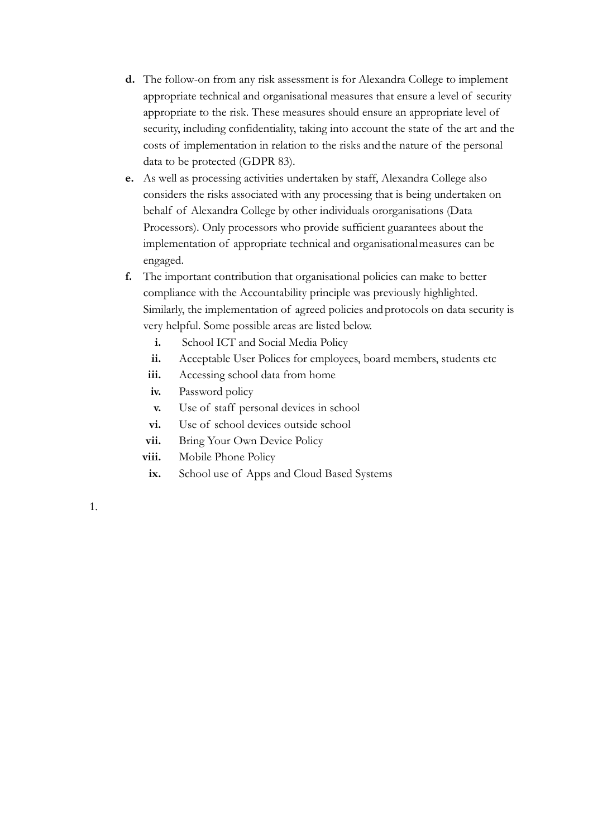- **d.** The follow-on from any risk assessment is for Alexandra College to implement appropriate technical and organisational measures that ensure a level of security appropriate to the risk. These measures should ensure an appropriate level of security, including confidentiality, taking into account the state of the art and the costs of implementation in relation to the risks and the nature of the personal data to be protected (GDPR 83).
- **e.** As well as processing activities undertaken by staff, Alexandra College also considers the risks associated with any processing that is being undertaken on behalf of Alexandra College by other individuals ororganisations (Data Processors). Only processors who provide sufficient guarantees about the implementation of appropriate technical and organisationalmeasures can be engaged.
- **f.** The important contribution that organisational policies can make to better compliance with the Accountability principle was previously highlighted. Similarly, the implementation of agreed policies andprotocols on data security is very helpful. Some possible areas are listed below.
	- **i.** School ICT and Social Media Policy
	- **ii.** Acceptable User Polices for employees, board members, students etc
	- iii. Accessing school data from home
	- **iv.** Password policy
	- **v.** Use of staff personal devices in school
	- **vi.** Use of school devices outside school
	- vii. Bring Your Own Device Policy
	- **viii.** Mobile Phone Policy
	- **ix.** School use of Apps and Cloud Based Systems

1.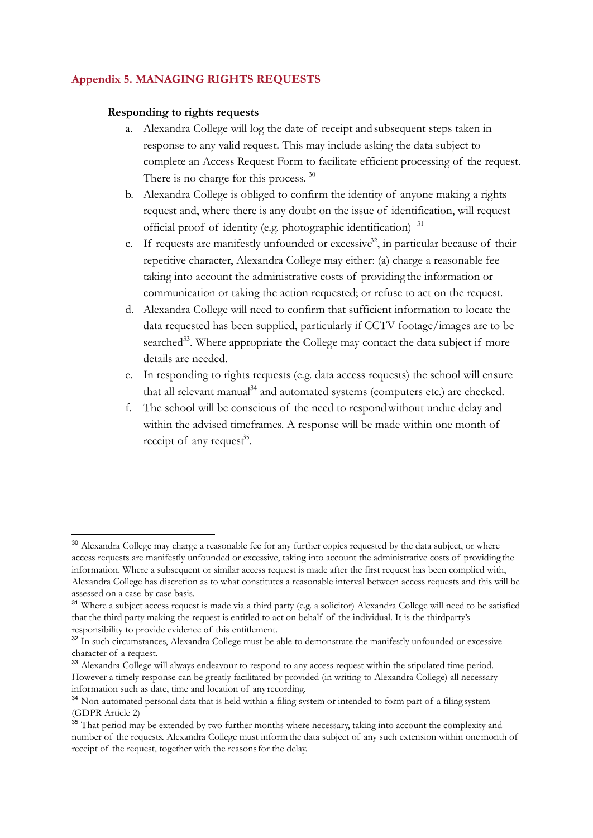## **Appendix 5. MANAGING RIGHTS REQUESTS**

#### **Responding to rights requests**

- a. Alexandra College will log the date of receipt andsubsequent steps taken in response to any valid request. This may include asking the data subject to complete an Access Request Form to facilitate efficient processing of the request. There is no charge for this process.<sup>30</sup>
- b. Alexandra College is obliged to confirm the identity of anyone making a rights request and, where there is any doubt on the issue of identification, will request official proof of identity (e.g. photographic identification) <sup>31</sup>
- c. If requests are manifestly unfounded or excessive<sup>32</sup>, in particular because of their repetitive character, Alexandra College may either: (a) charge a reasonable fee taking into account the administrative costs of providing the information or communication or taking the action requested; or refuse to act on the request.
- d. Alexandra College will need to confirm that sufficient information to locate the data requested has been supplied, particularly if CCTV footage/images are to be searched<sup>33</sup>. Where appropriate the College may contact the data subject if more details are needed.
- e. In responding to rights requests (e.g. data access requests) the school will ensure that all relevant manual<sup>34</sup> and automated systems (computers etc.) are checked.
- f. The school will be conscious of the need to respondwithout undue delay and within the advised timeframes. A response will be made within one month of receipt of any request<sup>35</sup>.

<sup>&</sup>lt;sup>30</sup> Alexandra College may charge a reasonable fee for any further copies requested by the data subject, or where access requests are manifestly unfounded or excessive, taking into account the administrative costs of providing the information. Where a subsequent or similar access request is made after the first request has been complied with, Alexandra College has discretion as to what constitutes a reasonable interval between access requests and this will be assessed on a case-by case basis.

<sup>&</sup>lt;sup>31</sup> Where a subject access request is made via a third party (e.g. a solicitor) Alexandra College will need to be satisfied that the third party making the request is entitled to act on behalf of the individual. It is the thirdparty's responsibility to provide evidence of this entitlement.

<sup>&</sup>lt;sup>32</sup> In such circumstances, Alexandra College must be able to demonstrate the manifestly unfounded or excessive character of a request.

<sup>&</sup>lt;sup>33</sup> Alexandra College will always endeavour to respond to any access request within the stipulated time period. However a timely response can be greatly facilitated by provided (in writing to Alexandra College) all necessary information such as date, time and location of any recording.

<sup>&</sup>lt;sup>34</sup> Non-automated personal data that is held within a filing system or intended to form part of a filing system (GDPR Article 2)

<sup>&</sup>lt;sup>35</sup> That period may be extended by two further months where necessary, taking into account the complexity and number of the requests. Alexandra College must informthe data subject of any such extension within onemonth of receipt of the request, together with the reasonsfor the delay.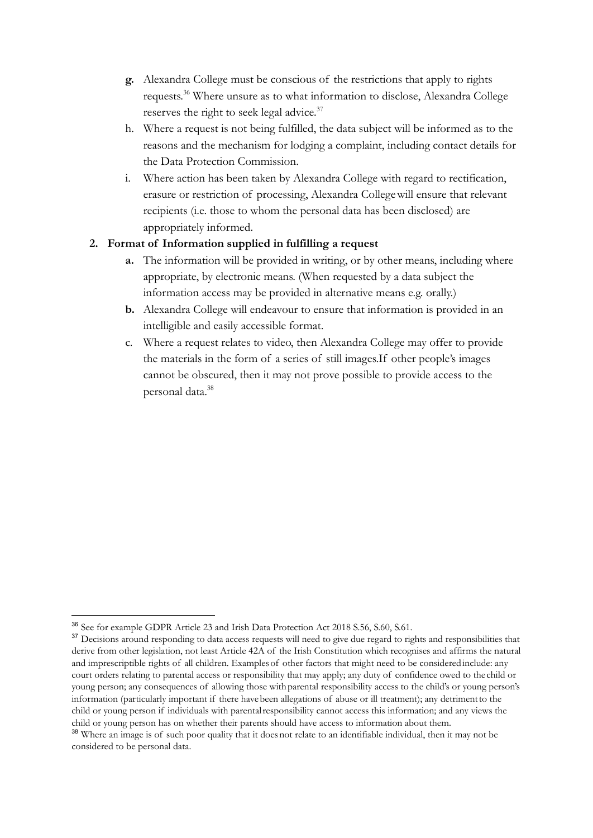- **g.** Alexandra College must be conscious of the restrictions that apply to rights requests.<sup>36</sup> Where unsure as to what information to disclose, Alexandra College reserves the right to seek legal advice.<sup>37</sup>
- h. Where a request is not being fulfilled, the data subject will be informed as to the reasons and the mechanism for lodging a complaint, including contact details for the Data Protection Commission.
- i. Where action has been taken by Alexandra College with regard to rectification, erasure or restriction of processing, Alexandra Collegewill ensure that relevant recipients (i.e. those to whom the personal data has been disclosed) are appropriately informed.

## **2. Format of Information supplied in fulfilling a request**

- **a.** The information will be provided in writing, or by other means, including where appropriate, by electronic means. (When requested by a data subject the information access may be provided in alternative means e.g. orally.)
- **b.** Alexandra College will endeavour to ensure that information is provided in an intelligible and easily accessible format.
- c. Where a request relates to video, then Alexandra College may offer to provide the materials in the form of a series of still images.If other people's images cannot be obscured, then it may not prove possible to provide access to the personal data.<sup>38</sup>

<sup>36</sup> See for example GDPR Article 23 and Irish Data Protection Act 2018 S.56, S.60, S.61.

<sup>&</sup>lt;sup>37</sup> Decisions around responding to data access requests will need to give due regard to rights and responsibilities that derive from other legislation, not least Article 42A of the Irish Constitution which recognises and affirms the natural and imprescriptible rights of all children. Examplesof other factors that might need to be consideredinclude: any court orders relating to parental access or responsibility that may apply; any duty of confidence owed to the child or young person; any consequences of allowing those withparental responsibility access to the child's or young person's information (particularly important if there havebeen allegations of abuse or ill treatment); any detrimentto the child or young person if individuals with parentalresponsibility cannot access this information; and any views the child or young person has on whether their parents should have access to information about them.

<sup>&</sup>lt;sup>38</sup> Where an image is of such poor quality that it does not relate to an identifiable individual, then it may not be considered to be personal data.